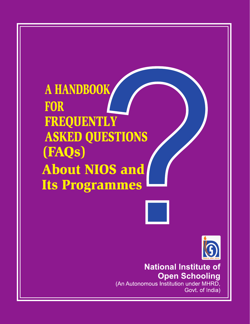A HANDBOOK **FOR FREQUENTLY ASKED QUESTIONS** (FAQs) **About NIOS and Its Programmes** 



**National Institute of Open Schooling** (An Autonomous Institution under MHRD, Govt. of India)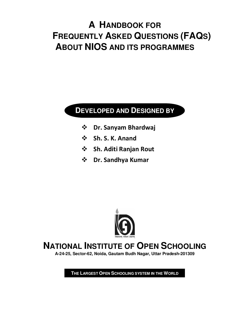# **A HANDBOOK FOR FREQUENTLY ASKED QUESTIONS (FAQS) ABOUT NIOS AND ITS PROGRAMMES**

#### **DEVELOPED AND DESIGNED BY**

- **Dr. Sanyam Bhardwaj**
- **Sh. S. K. Anand**
- **Sh. Aditi Ranjan Rout**
- **Dr. Sandhya Kumar**



## **NATIONAL INSTITUTE OF OPEN SCHOOLING**

**A-24-25, Sector-62, Noida, Gautam Budh Nagar, Uttar Pradesh-201309**

**THE LARGEST OPEN SCHOOLING SYSTEM IN THE WORLD**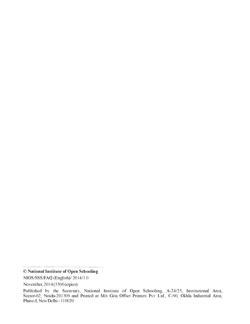NIOS/SSS/FAQ (English)/ 2014/1.0

<sup>©</sup> National Institute of Open Schooling

November, 2014 (3500 copies)

Published by the Secretary, National Institute of Open Schooling, A-24/25, Institutional Area, Sector-62, Noida-201309 and Printed at M/s Gita Offset Printers Pvt. Ltd., C-90, Okhla Industrial Area, Phase-I, New Delhi - 110020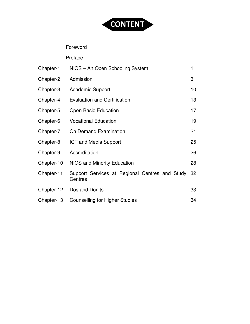

#### Foreword

Preface

| Chapter-1  | NIOS - An Open Schooling System                           | 1  |
|------------|-----------------------------------------------------------|----|
| Chapter-2  | Admission                                                 | 3  |
| Chapter-3  | <b>Academic Support</b>                                   | 10 |
| Chapter-4  | <b>Evaluation and Certification</b>                       | 13 |
| Chapter-5  | <b>Open Basic Education</b>                               | 17 |
| Chapter-6  | <b>Vocational Education</b>                               | 19 |
| Chapter-7  | On Demand Examination                                     | 21 |
| Chapter-8  | <b>ICT and Media Support</b>                              | 25 |
| Chapter-9  | Accreditation                                             | 26 |
| Chapter-10 | NIOS and Minority Education                               | 28 |
| Chapter-11 | Support Services at Regional Centres and Study<br>Centres | 32 |
| Chapter-12 | Dos and Don'ts                                            | 33 |
| Chapter-13 | <b>Counselling for Higher Studies</b>                     | 34 |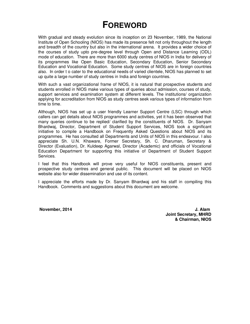### **FOREWORD**

With gradual and steady evolution since its inception on 23 November, 1989, the National Institute of Open Schooling (NIOS) has made its presence felt not only throughout the length and breadth of the country but also in the international arena. It provides a wider choice of the courses of study upto pre-degree level through Open and Distance Learning (ODL) mode of education. There are more than 6000 study centres of NIOS in India for delivery of its programmes like Open Basic Education, Secondary Education, Senior Secondary Education and Vocational Education. Some study centres of NIOS are in foreign countries also. In order t o cater to the educational needs of varied clientele, NIOS has planned to set up quite a large number of study centres in India and foreign countries.

With such a vast organizational frame of NIOS, it is natural that prospective students and students enrolled in NIOS make various types of queries about admission, courses of study, support services and examination system at different levels. The institutions/ organization applying for accreditation from NIOS as study centres seek various types of information from time to time.

Although, NIOS has set up a user friendly Learner Support Centre (LSC) through which callers can get details about NIOS programmes and activities, yet it has been observed that many queries continue to be replied/ clarified by the constituents of NIOS. Dr. Sanyam Bhardwaj, Director, Department of Student Support Services, NIOS took a significant initiative to compile a Handbook on Frequently Asked Questions about NIOS and its programmes. He has consulted all Departments and Units of NIOS in this endeavour. I also appreciate Sh. U.N. Khaware, Former Secretary, Sh. C. Dharuman, Secretary & Director (Evaluation), Dr. Kuldeep Agarwal, Director (Academic) and officials of Vocational Education Department for supporting this initiative of Department of Student Support Services.

I feel that this Handbook will prove very useful for NIOS constituents, present and prospective study centres and general public. This document will be placed on NIOS website also for wider dissemination and use of its content.

I appreciate the efforts made by Dr. Sanyam Bhardwaj and his staff in compiling this Handbook. Comments and suggestions about this document are welcome.

**November, 2014 J. Alam Joint Secretary, MHRD & Chairman, NIOS**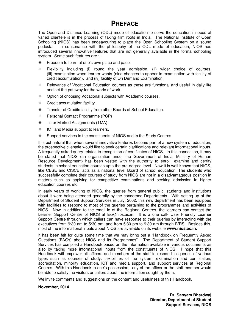#### **PREFACE**

The Open and Distance Learning (ODL) mode of education to serve the educational needs of varied clientele is in the process of taking firm roots in India. The National Institute of Open Schooling (NIOS) has been endeavouring to place the Open Schooling System on a sound pedestal. In consonance with the philosophy of the ODL mode of education, NIOS has introduced several innovative features that are not generally available in the formal schooling system. Some such features are :-

- $\div$  Freedom to learn at one's own place and pace.
- Flexibility including (i) round the year admission, (ii) wider choice of courses, (iii) examination when learner wants (nine chances to appear in examination with facility of credit accumulation), and (iv) facility of On Demand Examination.
- Relevance of Vocational Education courses as these are functional and useful in daily life and set the pathway for the world of work.
- ◆ Option of choosing Vocational subjects with Academic courses.
- ❖ Credit accumulation facility.
- \* Transfer of Credits facility from other Boards of School Education.
- Personal Contact Programme (PCP)
- Tutor Marked Assignments (TMA)
- ❖ ICT and Media support to learners.
- Support services in the constituents of NIOS and in the Study Centres.

It is but natural that when several innovative features become part of a new system of education, the prospective clientele would like to seek certain clarifications and relevant informational inputs. A frequently asked query relates to recognition of certificates of NIOS. In this connection, it may be stated that NIOS (an organization under the Government of India, Ministry of Human Resource Development) has been vested with the authority to enroll, examine and certify students in school education courses upto the pre-degree level. Now it is well known that NIOS, like CBSE and CISCE, acts as a national level Board of school education. The students who successfully complete their courses of study from NIOS are not in a disadvantageous position in matters such as applying for competitive examinations and seeking admission in higher education courses etc.

In early years of working of NIOS, the queries from general public, students and institutions about it were being attended generally by the concerned Departments. With setting up of the Department of Student Support Services in July, 2002, this new department has been equipped with facilities to respond to most of the queries pertaining to the programmes and activities of NIOS. Now in addition to the email id of the Regional Centres, the learners can contact the Learner Support Centre of NIOS at lsc@nios.ac.in. It is a one call- User Friendly Learner Support Centre through which callers can have response to their queries by interacting with the executives from 9:30 am to 5:30 pm; and from 5:30 pm to 9:30 am through IVRS. Besides this, most of the informational inputs about NIOS are available on its website **www.nios.ac.in.** 

It has been felt for quite some time that we may bring out a "Handbook on Frequently Asked Questions (FAQs) about NIOS and its Programmes". The Department of Student Support Services has compiled a Handbook based on the information available in various documents as also by taking more informational inputs from the constituents of NIOS. I hope that this Handbook will empower all officers and members of the staff to respond to queries of various types such as courses of study, flexibilities of the system, examination and certification, accreditation, minority education, ICT and media support, and support services at Regional Centres. With this Handbook in one's possession, any of the officer or the staff member would be able to satisfy the visitors or callers about the information sought by them.

We invite comments and suggestions on the content and usefulness of this Handbook.

#### **November, 2014**

 **Dr. Sanyam Bhardwaj Director, Department of Student Support Services, NIOS**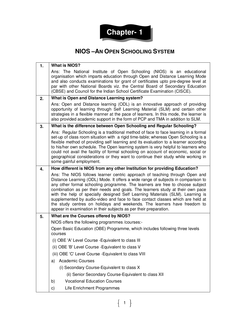

#### **NIOS –AN OPEN SCHOOLING SYSTEM**

| 1. | <b>What is NIOS?</b>                                                                                                                                                                                                                                                                                                                                                                                                                                                                                                                                                                                                                                     |  |
|----|----------------------------------------------------------------------------------------------------------------------------------------------------------------------------------------------------------------------------------------------------------------------------------------------------------------------------------------------------------------------------------------------------------------------------------------------------------------------------------------------------------------------------------------------------------------------------------------------------------------------------------------------------------|--|
|    | Ans: The National Institute of Open Schooling (NIOS) is an educational<br>organisation which imparts education through Open and Distance Learning Mode<br>and also conducts examinations for grant of certificates upto pre-degree level at<br>par with other National Boards viz. the Central Board of Secondary Education<br>(CBSE) and Council for the Indian School Certificate Examination (CISCE).                                                                                                                                                                                                                                                 |  |
| 2. | What is Open and Distance Learning system?                                                                                                                                                                                                                                                                                                                                                                                                                                                                                                                                                                                                               |  |
|    | Ans: Open and Distance learning (ODL) is an innovative approach of providing<br>opportunity of learning through Self Learning Material (SLM) and certain other<br>strategies in a flexible manner at the pace of learners. In this mode, the learner is<br>also provided academic support in the form of PCP and TMA in addition to SLM.                                                                                                                                                                                                                                                                                                                 |  |
| 3. | What is the difference between Open Schooling and Regular Schooling?                                                                                                                                                                                                                                                                                                                                                                                                                                                                                                                                                                                     |  |
|    | Ans: Regular Schooling is a traditional method of face to face learning in a formal<br>set-up of class room situation with a rigid time-table; whereas Open Schooling is a<br>flexible method of providing self learning and its evaluation to a learner according<br>to his/her own schedule. The Open learning system is very helpful to learners who<br>could not avail the facility of formal schooling on account of economic, social or<br>geographical considerations or they want to continue their study while working in<br>some gainful employment.                                                                                           |  |
| 4. | How different is NIOS from any other Institution for providing Education?                                                                                                                                                                                                                                                                                                                                                                                                                                                                                                                                                                                |  |
|    | Ans: The NIOS follows learner centric approach of teaching through Open and<br>Distance Learning (ODL) Mode. It offers a wide range of subjects in comparison to<br>any other formal schooling programme. The learners are free to choose subject<br>combination as per their needs and goals. The learners study at their own pace<br>with the help of specially designed Self Learning Materials (SLM). Learning is<br>supplemented by audio-video and face to face contact classes which are held at<br>the study centres on holidays and weekends. The learners have freedom to<br>appear in examination in their subjects as per their preparation. |  |
| 5. | What are the Courses offered by NIOS?                                                                                                                                                                                                                                                                                                                                                                                                                                                                                                                                                                                                                    |  |
|    | NIOS offers the following programmes /courses:-                                                                                                                                                                                                                                                                                                                                                                                                                                                                                                                                                                                                          |  |
|    | Open Basic Education (OBE) Programme, which includes following three levels<br>courses                                                                                                                                                                                                                                                                                                                                                                                                                                                                                                                                                                   |  |
|    | (i) OBE 'A' Level Course - Equivalent to class III                                                                                                                                                                                                                                                                                                                                                                                                                                                                                                                                                                                                       |  |
|    | (ii) OBE 'B' Level Course - Equivalent to class V                                                                                                                                                                                                                                                                                                                                                                                                                                                                                                                                                                                                        |  |
|    | (iii) OBE 'C' Level Course - Equivalent to class VIII                                                                                                                                                                                                                                                                                                                                                                                                                                                                                                                                                                                                    |  |
|    | <b>Academic Courses</b><br>a)                                                                                                                                                                                                                                                                                                                                                                                                                                                                                                                                                                                                                            |  |
|    | (i) Secondary Course-Equivalent to class X                                                                                                                                                                                                                                                                                                                                                                                                                                                                                                                                                                                                               |  |
|    | (ii) Senior Secondary Course-Equivalent to class XII                                                                                                                                                                                                                                                                                                                                                                                                                                                                                                                                                                                                     |  |
|    | <b>Vocational Education Courses</b><br>b)                                                                                                                                                                                                                                                                                                                                                                                                                                                                                                                                                                                                                |  |
|    | Life Enrichment Programmes<br>c)                                                                                                                                                                                                                                                                                                                                                                                                                                                                                                                                                                                                                         |  |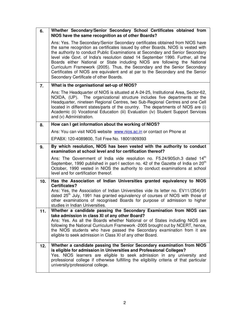| 6.  | Whether Secondary/Senior Secondary School Certificates obtained from<br>NIOS have the same recognition as of other Boards?                                                                                                                                                                                                                                                                                                                                                                                                                                                                                                    |  |
|-----|-------------------------------------------------------------------------------------------------------------------------------------------------------------------------------------------------------------------------------------------------------------------------------------------------------------------------------------------------------------------------------------------------------------------------------------------------------------------------------------------------------------------------------------------------------------------------------------------------------------------------------|--|
|     | Ans: Yes. The Secondary/Senior Secondary certificates obtained from NIOS have<br>the same recognition as certificates issued by other Boards. NIOS is vested with<br>the authority to conduct Public Examinations at Secondary and Senior Secondary<br>level vide Govt. of India's resolution dated 14 September 1990. Further, all the<br>Boards either National or State including NIOS are following the National<br>Curriculum Framework (2005). Thus, the Secondary and the Senior Secondary<br>Certificates of NIOS are equivalent and at par to the Secondary and the Senior<br>Secondary Certificate of other Boards. |  |
| 7.  | What is the organisational set-up of NIOS?                                                                                                                                                                                                                                                                                                                                                                                                                                                                                                                                                                                    |  |
|     | Ans: The Headquarter of NIOS is situated at A-24-25, Institutional Area, Sector-62,<br>NOIDA, (UP). The organizational structure includes five departments at the<br>Headquarter, nineteen Regional Centres, two Sub-Regional Centres and one Cell<br>located in different states/parts of the country. The departments of NIOS are (i)<br>Academic (ii) Vocational Education (iii) Evaluation (iv) Student Support Services<br>and (v) Administration.                                                                                                                                                                       |  |
| 8.  | How can I get information about the working of NIOS?                                                                                                                                                                                                                                                                                                                                                                                                                                                                                                                                                                          |  |
|     | Ans: You can visit NIOS website www.nios.ac.in or contact on Phone at                                                                                                                                                                                                                                                                                                                                                                                                                                                                                                                                                         |  |
|     | EPABX: 120-4089800, Toll Free No. 18001809393                                                                                                                                                                                                                                                                                                                                                                                                                                                                                                                                                                                 |  |
| 9.  | By which resolution, NIOS has been vested with the authority to conduct<br>examination at school level and for certification thereof?                                                                                                                                                                                                                                                                                                                                                                                                                                                                                         |  |
|     | Ans: The Government of India vide resolution no. F5.24/90Sch.3 dated 14 <sup>th</sup><br>September, 1990 published in part-I section no. 42 of the Gazette of India on 20 <sup>th</sup><br>October, 1990 vested in NIOS the authority to conduct examinations at school<br>level and for certification thereof.                                                                                                                                                                                                                                                                                                               |  |
| 10. | Has the Association of Indian Universities granted equivalency to NIOS<br>Certificates?                                                                                                                                                                                                                                                                                                                                                                                                                                                                                                                                       |  |
|     | Ans: Yes, the Association of Indian Universities vide its letter no. EV11/(354)/91<br>dated 25 <sup>th</sup> July, 1991 has granted equivalency of courses of NIOS with those of<br>other examinations of recognised Boards for purpose of admission to higher<br>studies in Indian Universities.                                                                                                                                                                                                                                                                                                                             |  |
| 11. | Whether a candidate passing the Secondary Examination from NIOS can<br>take admission in class XI of any other Board?                                                                                                                                                                                                                                                                                                                                                                                                                                                                                                         |  |
|     | Ans: Yes. As all the Boards whether National or of States including NIOS are<br>following the National Curriculum Framework -2005 brought out by NCERT, hence,<br>the NIOS students who have passed the Secondary examination from it are<br>eligible to seek admission in Class XI of any other Board.                                                                                                                                                                                                                                                                                                                       |  |
| 12. | Whether a candidate passing the Senior Secondary examination from NIOS<br>is eligible for admission in Universities and Professional Colleges?<br>Yes. NIOS learners are eligible to seek admission in any university and<br>professional college if otherwise fulfilling the eligibility criteria of that particular<br>university/professional college.                                                                                                                                                                                                                                                                     |  |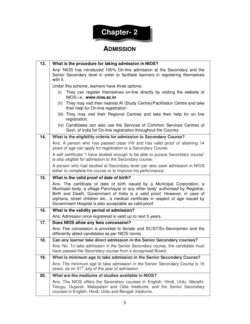# **Chapter- 2**

### **ADMISSION**

| 13. | What is the procedure for taking admission in NIOS?                                                                                                                                                                                                                                                                                                                                       |  |  |
|-----|-------------------------------------------------------------------------------------------------------------------------------------------------------------------------------------------------------------------------------------------------------------------------------------------------------------------------------------------------------------------------------------------|--|--|
|     | Ans: NIOS has introduced 100% On-line admission at the Secondary and the<br>Senior Secondary level in order to facilitate learners in registering themselves<br>with it.                                                                                                                                                                                                                  |  |  |
|     | Under this scheme, learners have three options:                                                                                                                                                                                                                                                                                                                                           |  |  |
|     | They can register themselves on-line directly by visiting the website of<br>(i)<br>NIOS i.e., www.nios.ac.in                                                                                                                                                                                                                                                                              |  |  |
|     | They may visit their nearest AI (Study Centre)/Facilitation Centre and take<br>(ii)<br>their help for On-line registration.                                                                                                                                                                                                                                                               |  |  |
|     | (iii) They may visit their Regional Centres and take their help for on line<br>registration.                                                                                                                                                                                                                                                                                              |  |  |
|     | (iv) Candidates can also use the Services of Common Services Centres of<br>Govt. of India for On-line registration throughout the Country.                                                                                                                                                                                                                                                |  |  |
| 14. | What is the eligibility criteria for admission to Secondary Course?                                                                                                                                                                                                                                                                                                                       |  |  |
|     | Ans: A person who has passed class VIII and has valid proof of attaining 14<br>years of age can apply for registration to a Secondary Course.                                                                                                                                                                                                                                             |  |  |
|     | A self certificate "I have studied enough to be able to pursue Secondary course"<br>is also eligible for admission to the Secondary course.                                                                                                                                                                                                                                               |  |  |
|     | A person who had studied at Secondary level can also seek admission in NIOS<br>either to complete his course or to improve his performance.                                                                                                                                                                                                                                               |  |  |
| 15. | What is the valid proof of date of birth?                                                                                                                                                                                                                                                                                                                                                 |  |  |
|     | Ans. The certificate of date of birth issued by a Municipal Corporation, a<br>Municipal body, a village Panchayat or any other body' authorised by Registrar,<br>Birth and Death, Government of India is a valid proof. However, in case of<br>orphans, street children etc., a medical certificate in respect of age issued by<br>Government Hospital is also acceptable as valid proof. |  |  |
| 16. | What is the validity period of admission?                                                                                                                                                                                                                                                                                                                                                 |  |  |
|     | Ans: Admission once registered is valid up to next 5 years.                                                                                                                                                                                                                                                                                                                               |  |  |
| 17. | Does NIOS allow any fees concession?                                                                                                                                                                                                                                                                                                                                                      |  |  |
|     | Ans: Fee concession is provided to female and SC/ST/Ex-Servicemen and the<br>differently abled candidates as per NIOS norms.                                                                                                                                                                                                                                                              |  |  |
| 18. | Can any learner take direct admission in the Senior Secondary courses?                                                                                                                                                                                                                                                                                                                    |  |  |
|     | Ans: No. To take admission in the Senior Secondary course, the candidate must<br>have passed the Secondary course from a recognised Board.                                                                                                                                                                                                                                                |  |  |
| 19. | What is minimum age to take admission in the Senior Secondary Course?                                                                                                                                                                                                                                                                                                                     |  |  |
|     | Ans: The minimum age to take admission in the Senior Secondary Course is 15<br>years, as on 31 <sup>st</sup> July of the year of admission.                                                                                                                                                                                                                                               |  |  |
| 20. | What are the mediums of studies available in NIOS?                                                                                                                                                                                                                                                                                                                                        |  |  |
|     | Ans: The NIOS offers the Secondary courses in English, Hindi, Urdu, Marathi,<br>Telugu, Gujarati, Malayalam and Odia mediums; and the Senior Secondary<br>courses in English, Hindi, Urdu and Bengali mediums.                                                                                                                                                                            |  |  |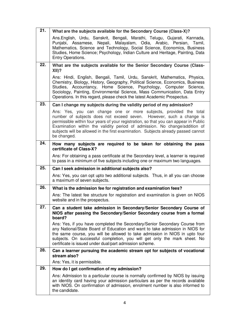| 21. | What are the subjects available for the Secondary Course (Class-X)?                                                                                                                                                                                                                                                                                                                                                |  |
|-----|--------------------------------------------------------------------------------------------------------------------------------------------------------------------------------------------------------------------------------------------------------------------------------------------------------------------------------------------------------------------------------------------------------------------|--|
|     | Ans.English, Urdu, Sanskrit, Bengali, Marathi, Telugu, Gujarati, Kannada,<br>Punjabi, Assamese, Nepali, Malayalam, Odia, Arabic, Persian,<br>Tamil.<br>Mathematics, Science and Technology, Social Science, Economics, Business<br>Studies, Home Science; Psychology, Indian Culture and Heritage, Painting, Data<br>Entry Operations.                                                                             |  |
| 22. | What are the subjects available for the Senior Secondary Course (Class-<br>$XII$ ?                                                                                                                                                                                                                                                                                                                                 |  |
|     | Ans: Hindi, English, Bengali, Tamil, Urdu, Sanskrit, Mathematics, Physics,<br>Chemistry, Biology, History, Geography, Political Science, Economics, Business<br>Studies, Accountancy, Home Science, Psychology, Computer Science,<br>Sociology, Painting, Environmental Science, Mass Communication, Data Entry<br>Operations. In this regard, please check the latest Academic Prospectus.                        |  |
| 23. | Can I change my subjects during the validity period of my admission?                                                                                                                                                                                                                                                                                                                                               |  |
|     | Ans: Yes, you can change one or more subjects, provided the total<br>number of subjects does not exceed seven. However, such a change is<br>permissible within four years of your registration, so that you can appear in Public<br>Examination within the validity period of admission. No change/addition of<br>subjects will be allowed in the first examination. Subjects already passed cannot<br>be changed. |  |
| 24. | How many subjects are required to be taken for obtaining the pass<br>certificate of Class-X?                                                                                                                                                                                                                                                                                                                       |  |
|     | Ans: For obtaining a pass certificate at the Secondary level, a learner is required<br>to pass in a minimum of five subjects including one or maximum two languages.                                                                                                                                                                                                                                               |  |
| 25. | Can I seek admission in additional subjects also?                                                                                                                                                                                                                                                                                                                                                                  |  |
|     | Ans: Yes, you can opt upto two additional subjects. Thus, in all you can choose<br>a maximum of seven subjects.                                                                                                                                                                                                                                                                                                    |  |
| 26. | What is the admission fee for registration and examination fees?                                                                                                                                                                                                                                                                                                                                                   |  |
|     | Ans: The latest fee structure for registration and examination is given on NIOS<br>website and in the prospectus.                                                                                                                                                                                                                                                                                                  |  |
| 27. | Can a student take admission in Secondary/Senior Secondary Course of<br>NIOS after passing the Secondary/Senior Secondary course from a formal<br>board?                                                                                                                                                                                                                                                           |  |
|     | Ans: Yes, if you have completed the Secondary/Senior Secondary Course from<br>any National/State Board of Education and want to take admission in NIOS for<br>the same course, you will be allowed to take admission in NIOS in upto four<br>subjects. On successful completion, you will get only the mark sheet. No<br>certificate is issued under dual/part admission scheme.                                   |  |
| 28. | Can a learner pursuing the academic stream opt for subjects of vocational                                                                                                                                                                                                                                                                                                                                          |  |
|     | stream also?<br>Ans: Yes, it is permissible.                                                                                                                                                                                                                                                                                                                                                                       |  |
| 29. | How do I get confirmation of my admission?                                                                                                                                                                                                                                                                                                                                                                         |  |
|     | Ans: Admission to a particular course is normally confirmed by NIOS by issuing<br>an identity card having your admission particulars as per the records available<br>with NIOS. On confirmation of admission, enrolment number is also informed to<br>the candidate.                                                                                                                                               |  |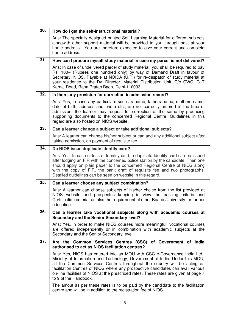| 30. | How do I get the self-instructional material?                                                                                                                                                                                                                                                                                                                                                                                           |  |
|-----|-----------------------------------------------------------------------------------------------------------------------------------------------------------------------------------------------------------------------------------------------------------------------------------------------------------------------------------------------------------------------------------------------------------------------------------------|--|
|     | Ans: The specially designed printed Self Learning Material for different subjects<br>alongwith other support material will be provided to you through post at your<br>home address. You are therefore expected to give your correct and complete<br>home address.                                                                                                                                                                       |  |
| 31. | How can I procure myself study material in case my parcel is not delivered?                                                                                                                                                                                                                                                                                                                                                             |  |
|     | Ans: In case of undelivered parcel of study material, you shall be required to pay<br>Rs. 100/- (Rupees one hundred only) by way of Demand Draft in favour of<br>Secretary, NIOS, Payable at NOIDA (U.P.) for re-despatch of study material at<br>your residence to the Dy. Director, Material Distribution Unit, C/o CWC, G T<br>Karnal Road, Rana Pratap Bagh, Delhi-110033                                                           |  |
| 32. | Is there any provision for correction in admission record?                                                                                                                                                                                                                                                                                                                                                                              |  |
|     | Ans: Yes, in case any particulars such as name, fathers name, mothers name,<br>date of birth, address and photo etc., are not correctly entered at the time of<br>admission, the learner may request for correction of the same by producing<br>supporting documents to the concerned Regional Centre. Guidelines in this<br>regard are also hosted on NIOS website.                                                                    |  |
| 33. | Can a learner change a subject or take additional subjects?                                                                                                                                                                                                                                                                                                                                                                             |  |
|     | Ans: A learner can change his/her subject or can add any additional subject after<br>taking admission, on payment of requisite fee.                                                                                                                                                                                                                                                                                                     |  |
| 34. | Do NIOS issue duplicate identity card?                                                                                                                                                                                                                                                                                                                                                                                                  |  |
|     | Ans: Yes, In case of loss of Identity card, a duplicate Identity card can be issued<br>after lodging an FIR with the concerned police station by the candidate. Then one<br>should apply on plain paper to the concerned Regional Centre of NIOS along<br>with the copy of FIR, the bank draft of requisite fee and two photographs.<br>Detailed guidelines can be seen on website in this regard.                                      |  |
| 35. | Can a learner choose any subject combination?                                                                                                                                                                                                                                                                                                                                                                                           |  |
|     | Ans: A learner can choose subjects of his/her choice from the list provided at<br>NIOS website and prospectus keeping in view the passing criteria and<br>Certification criteria, as also the requirement of other Boards/University for further<br>education.                                                                                                                                                                          |  |
| 36. | Can a learner take vocational subjects along with academic courses at<br>Secondary and the Senior Secondary level?                                                                                                                                                                                                                                                                                                                      |  |
|     | Ans: Yes, in order to make NIOS courses more meaningful, vocational courses<br>are offered independently or in combination with academic subjects at the<br>Secondary and the Senior Secondary level.                                                                                                                                                                                                                                   |  |
| 37. | Are the Common Services Centres (CSC) of Government of India<br>authorised to act as NIOS facilitation centres?                                                                                                                                                                                                                                                                                                                         |  |
|     | Ans: Yes, NIOS has entered into an MOU with CSC e-Governance India Ltd.,<br>Ministry of Information and Technology, Government of India. Under this MOU,<br>all the Common Services Centres throughout the country will be acting as<br>facilitation Centres of NIOS where any prospective candidates can avail various<br>on-line facilities of NIOS at the prescribed rates. These rates are given at page 7<br>to 9 of the Handbook. |  |
|     | The amout as per these rates is to be paid by the candidate to the facilitation<br>centre and will be in addition to the registration fee of NIOS.                                                                                                                                                                                                                                                                                      |  |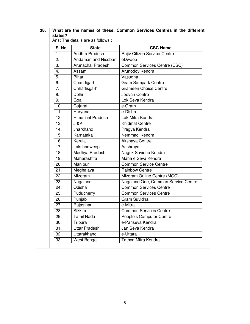| <b>S. No.</b>     | <b>State</b>             | <b>CSC Name</b>                     |
|-------------------|--------------------------|-------------------------------------|
| $\mathbf{1}$ .    | Andhra Pradesh           | Rajiv Citizen Service Centre        |
| $\overline{2}$ .  | Andaman and Nicobar      | eDweep                              |
| 3.                | <b>Arunachal Pradesh</b> | Common Services Centre (CSC)        |
| 4.                | Assam                    | Arunodoy Kendra                     |
| $\overline{5}$ .  | <b>Bihar</b>             | Vasudha                             |
| 6.                | Chandigarh               | <b>Gram Sampark Centre</b>          |
| 7.                | Chhattisgarh             | <b>Grameen Choice Centre</b>        |
| 8.                | Delhi                    | Jeevan Centre                       |
| 9.                | Goa                      | Lok Seva Kendra                     |
| 10.               | Gujarat                  | e-Gram                              |
| 11.               | Haryana                  | e-Disha                             |
| $\overline{1}2.$  | <b>Himachal Pradesh</b>  | Lok Mitra Kendra                    |
| 13.               | $J$ &K                   | <b>Khidmat Centre</b>               |
| $\overline{14}$ . | Jharkhand                | Pragya Kendra                       |
| 15.               | Karnataka                | Nemmadi Kendra                      |
| 16.               | Kerala                   | Akshaya Centre                      |
| 17.               | Lakshadweep              | Aashraya                            |
| 18.               | Madhya Pradesh           | Nagrik Suvidha Kendra               |
| 19.               | Maharashtra              | Maha e Seva Kendra                  |
| 20.               | Manipur                  | <b>Common Service Centre</b>        |
| 21.               | Meghalaya                | <b>Rainbow Centre</b>               |
| 22.               | Mizoram                  | Mizoram Online Centre (MOC)         |
| 23.               | Nagaland                 | Nagaland One, Common Service Centre |
| 24.               | Odisha                   | <b>Common Services Centre</b>       |
| 25.               | Puducherry               | <b>Common Services Centre</b>       |
| 26.               | Punjab                   | Gram Suvidha                        |
| 27.               | Rajasthan                | e-Mitra                             |
| 28.               | <b>Sikkim</b>            | <b>Common Services Centre</b>       |
| 29.               | <b>Tamil Nadu</b>        | People's Computer Centre            |
| 30.               | Tripura                  | e-Pariseva Kendra                   |
| 31.               | <b>Uttar Pradesh</b>     | Jan Seva Kendra                     |
| 32.               | Uttarakhand              | e-Uttara                            |
| 33.               | West Bengal              | Tathya Mitra Kendra                 |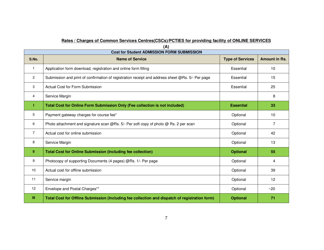#### **Rates / Charges of Common Services Centres(CSCs)/PCTIES for providing facility of ONLINE SERVICES**

| $\sqrt{2}$<br><b>Cost for Student ADMISSION FORM SUBMISSION</b> |                                                                                                  |                         |                      |  |
|-----------------------------------------------------------------|--------------------------------------------------------------------------------------------------|-------------------------|----------------------|--|
| S.No.                                                           | <b>Name of Service</b>                                                                           | <b>Type of Services</b> | <b>Amount in Rs.</b> |  |
| $\mathbf{1}$                                                    | Application form download, registration and online form filling                                  | Essential               | 10                   |  |
| $\overline{c}$                                                  | Submission and print of confirmation of registration receipt and address sheet @Rs. 5/- Per page | Essential               | 15                   |  |
| 3                                                               | <b>Actual Cost for Form Submission</b>                                                           | Essential               | 25                   |  |
| 4                                                               | Service Margin                                                                                   |                         | 8                    |  |
|                                                                 | Total Cost for Online Form Submission Only (Fee collection is not included)                      | <b>Essential</b>        | 33                   |  |
| 5                                                               | Payment gateway charges for course fee*                                                          | Optional                | 10                   |  |
| 6                                                               | Photo attachment and signature scan @Rs. 5/- Per soft copy of photo @ Rs. 2 per scan             | Optional                | $\overline{7}$       |  |
| 7                                                               | Actual cost for online submission                                                                | Optional                | 42                   |  |
| 8                                                               | Service Margin                                                                                   | Optional                | 13                   |  |
| Ш                                                               | <b>Total Cost for Online Submission (Including fee collection)</b>                               | <b>Optional</b>         | 55                   |  |
| 9                                                               | Photocopy of supporting Documents (4 pages) @Rs. 1/- Per page                                    | Optional                | 4                    |  |
| 10                                                              | Actual cost for offline submission                                                               | Optional                | 39                   |  |
| 11                                                              | Service margin                                                                                   | Optional                | 12                   |  |
| 12                                                              | Envelope and Postal Charges**                                                                    | Optional                | ~20                  |  |
| Ш                                                               | Total Cost for Offline Submission (Including fee collection and dispatch of registration form)   | <b>Optional</b>         | 71                   |  |

**(A)**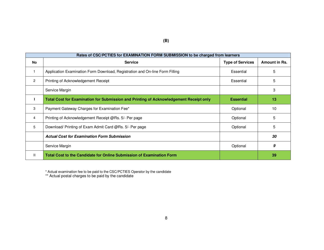| Rates of CSC/PCTIES for EXAMINATION FORM SUBMISSION to be charged from learners |                                                                                        |                         |               |  |
|---------------------------------------------------------------------------------|----------------------------------------------------------------------------------------|-------------------------|---------------|--|
| <b>No</b>                                                                       | <b>Service</b>                                                                         | <b>Type of Services</b> | Amount in Rs. |  |
|                                                                                 | Application Examination Form Download, Registration and On-line Form Filling           | Essential               | 5             |  |
| $\overline{c}$                                                                  | Printing of Acknowledgement Receipt                                                    | Essential               | 5             |  |
|                                                                                 | Service Margin                                                                         |                         | 3             |  |
|                                                                                 | Total Cost for Examination for Submission and Printing of Acknowledgement Receipt only | <b>Essential</b>        | 13            |  |
| 3                                                                               | Payment Gateway Charges for Examination Fee*                                           | Optional                | 10            |  |
| 4                                                                               | Printing of Acknowledgement Receipt @Rs. 5/- Per page                                  | Optional                | 5             |  |
| 5                                                                               | Download/ Printing of Exam Admit Card @Rs. 5/- Per page                                | Optional                | 5             |  |
|                                                                                 | <b>Actual Cost for Examination Form Submission</b>                                     |                         | 30            |  |
|                                                                                 | Service Margin                                                                         | Optional                | 9             |  |
| Ш                                                                               | Total Cost to the Candidate for Online Submission of Examination Form                  |                         | 39            |  |

\* Actual examination fee to be paid to the CSC/PCTIES Operator by the candidate \*\* Actual postal charges to be paid by the candidate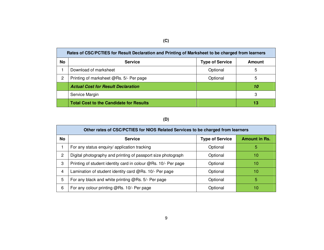|           | Rates of CSC/PCTIES for Result Declaration and Printing of Marksheet to be charged from learners |                        |        |  |
|-----------|--------------------------------------------------------------------------------------------------|------------------------|--------|--|
| <b>No</b> | <b>Service</b>                                                                                   | <b>Type of Service</b> | Amount |  |
|           | Download of marksheet                                                                            | Optional               | 5      |  |
| 2         | Printing of marksheet @Rs. 5/- Per page                                                          | Optional               | 5      |  |
|           | <b>Actual Cost for Result Declaration</b>                                                        |                        | 10     |  |
|           | Service Margin                                                                                   |                        | 3      |  |
|           | <b>Total Cost to the Candidate for Results</b>                                                   |                        | 13     |  |

#### **(D)**

| Other rates of CSC/PCTIES for NIOS Related Services to be charged from learners |                                                                |                        |                      |  |
|---------------------------------------------------------------------------------|----------------------------------------------------------------|------------------------|----------------------|--|
| <b>No</b>                                                                       | <b>Service</b>                                                 | <b>Type of Service</b> | <b>Amount in Rs.</b> |  |
|                                                                                 | For any status enquiry/ application tracking                   | Optional               | 5                    |  |
| $\overline{2}$                                                                  | Digital photography and printing of passport size photograph   | Optional               | 10                   |  |
| 3                                                                               | Printing of student identity card in colour @Rs. 10/- Per page | Optional               | 10                   |  |
| 4                                                                               | Lamination of student identity card @Rs. 10/- Per page         | Optional               | 10                   |  |
| 5                                                                               | For any black and white printing @Rs. 5/- Per page             | Optional               | 5                    |  |
| 6                                                                               | For any colour printing @Rs. 10/- Per page                     | Optional               | 10                   |  |

#### **(C)**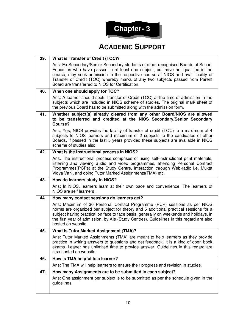

#### **ACADEMIC SUPPORT**

| 39. | <b>What is Transfer of Credit (TOC)?</b>                                                                                                                                                                                                                                                                                                                                                       |  |
|-----|------------------------------------------------------------------------------------------------------------------------------------------------------------------------------------------------------------------------------------------------------------------------------------------------------------------------------------------------------------------------------------------------|--|
|     | Ans: Ex-Secondary/Senior Secondary students of other recognised Boards of School<br>Education who have passed in at least one subject, but have not qualified in the<br>course, may seek admission in the respective course at NIOS and avail facility of<br>Transfer of Credit (TOC) whereby marks of any two subjects passed from Parent<br>Board are transferred to NIOS for Certification. |  |
| 40. | When one should apply for TOC?                                                                                                                                                                                                                                                                                                                                                                 |  |
|     | Ans: A learner should seek Transfer of Credit (TOC) at the time of admission in the<br>subjects which are included in NIOS scheme of studies. The original mark sheet of<br>the previous Board has to be submitted along with the admission form.                                                                                                                                              |  |
| 41. | Whether subject(s) already cleared from any other Board/NIOS are allowed<br>to be transferred and credited at the NIOS Secondary/Senior Secondary<br>Course?                                                                                                                                                                                                                                   |  |
|     | Ans: Yes, NIOS provides the facility of transfer of credit (TOC) to a maximum of 4<br>subjects to NIOS learners and maximum of 2 subjects to the candidates of other<br>Boards, if passed in the last 5 years provided these subjects are available in NIOS<br>scheme of studies also.                                                                                                         |  |
| 42. | What is the instructional process in NIOS?                                                                                                                                                                                                                                                                                                                                                     |  |
|     | Ans. The instructional process comprises of using self-instructional print materials,<br>listening and viewing audio and video programmes, attending Personal Contract<br>Programmes(PCPs) at the Study Centre, interaction through Web-radio i.e. Mukta<br>Vidya Vani, and doing Tutor Marked Assignments (TMA) etc.                                                                          |  |
| 43. | How do learners study in NIOS?                                                                                                                                                                                                                                                                                                                                                                 |  |
|     | Ans: In NIOS, learners learn at their own pace and convenience. The learners of<br>NIOS are self learners.                                                                                                                                                                                                                                                                                     |  |
| 44. | How many contact sessions do learners get?                                                                                                                                                                                                                                                                                                                                                     |  |
|     | Ans: Maximum of 30 Personal Contact Programme (PCP) sessions as per NIOS<br>norms are organized per subject for theory and 5 additional practical sessions for a<br>subject having practical on face to face basis, generally on weekends and holidays, in<br>the first year of admission, by Als (Study Centres). Guidelines in this regard are also<br>hosted on website.                    |  |
| 45. | <b>What is Tutor Marked Assignment (TMA)?</b>                                                                                                                                                                                                                                                                                                                                                  |  |
|     | Ans: Tutor Marked Assignments (TMA) are meant to help learners as they provide<br>practice in writing answers to questions and get feedback. It is a kind of open book<br>exams. Leaner has unlimited time to provide answer. Guidelines in this regard are<br>also hosted on website.                                                                                                         |  |
| 46. | How is TMA helpful to a learner?                                                                                                                                                                                                                                                                                                                                                               |  |
|     | Ans: The TMA will help learners to ensure their progress and revision in studies.                                                                                                                                                                                                                                                                                                              |  |
| 47. | How many Assignments are to be submitted in each subject?                                                                                                                                                                                                                                                                                                                                      |  |
|     | Ans: One assignment per subject is to be submitted as per the schedule given in the<br>guidelines.                                                                                                                                                                                                                                                                                             |  |
|     |                                                                                                                                                                                                                                                                                                                                                                                                |  |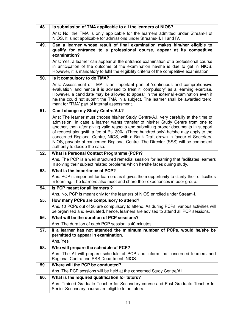| 48. | Is submission of TMA applicable to all the learners of NIOS?                                                                                                                                                                                                                                                                                                                                                                                                                                                                                                    |
|-----|-----------------------------------------------------------------------------------------------------------------------------------------------------------------------------------------------------------------------------------------------------------------------------------------------------------------------------------------------------------------------------------------------------------------------------------------------------------------------------------------------------------------------------------------------------------------|
|     | Ans: No, the TMA is only applicable for the learners admitted under Stream-I of<br>NIOS. It is not applicable for admissions under Streams-II, III and IV.                                                                                                                                                                                                                                                                                                                                                                                                      |
| 49. | Can a learner whose result of final examination makes him/her eligible to                                                                                                                                                                                                                                                                                                                                                                                                                                                                                       |
|     | qualify for entrance to a professional course, appear at its competitive<br>examination?                                                                                                                                                                                                                                                                                                                                                                                                                                                                        |
|     | Ans: Yes, a learner can appear at the entrance examination of a professional course<br>in anticipation of the outcome of the examination he/she is due to get in NIOS.<br>However, it is mandatory to fulfil the eligibility criteria of the competitive examination.                                                                                                                                                                                                                                                                                           |
| 50. | Is it compulsory to do TMA?                                                                                                                                                                                                                                                                                                                                                                                                                                                                                                                                     |
|     | Ans: Assessment of TMA is an important part of 'continuous and comprehensive<br>evaluation' and hence it is advised to treat it 'compulsory' as a learning exercise.<br>However, a candidate may be allowed to appear in the external examination even if<br>he/she could not submit the TMA in a subject. The learner shall be awarded 'zero'<br>mark for 'TMA' part of internal assessment.                                                                                                                                                                   |
| 51. | Can I change my Study Centre/A.I.?                                                                                                                                                                                                                                                                                                                                                                                                                                                                                                                              |
|     | Ans: The learner must choose his/her Study Centre/A.I. very carefully at the time of<br>admission. In case a learner wants transfer of his/her Study Centre from one to<br>another, then after giving valid reasons and submitting proper documents in support<br>of request alongwith a fee of Rs. 300/- (Three hundred only) he/she may apply to the<br>concerned Regional Centre, NIOS, with a Bank Draft drawn in favour of Secretary,<br>NIOS, payable at concerned Regional Centre. The Director (SSS) will be competent<br>authority to decide the case. |
| 52. | What is Personal Contact Programme (PCP)?                                                                                                                                                                                                                                                                                                                                                                                                                                                                                                                       |
|     | Ans. The PCP is a well structured remedial session for learning that facilitates learners<br>in solving their subject related problems which he/she faces during study.                                                                                                                                                                                                                                                                                                                                                                                         |
| 53. | What is the importance of PCP?                                                                                                                                                                                                                                                                                                                                                                                                                                                                                                                                  |
|     | Ans: PCP is important for learners as it gives them opportunity to clarify their difficulties<br>in learning. The learners also meet and share their experiences in peer group.                                                                                                                                                                                                                                                                                                                                                                                 |
| 54. | Is PCP meant for all learners?                                                                                                                                                                                                                                                                                                                                                                                                                                                                                                                                  |
|     | Ans. No, PCP is meant only for the learners of NIOS enrolled under Stream-I.                                                                                                                                                                                                                                                                                                                                                                                                                                                                                    |
| 55. | How many PCPs are compulsory to attend?                                                                                                                                                                                                                                                                                                                                                                                                                                                                                                                         |
|     | Ans. 10 PCPs out of 30 are compulsory to attend. As during PCPs, various activities will<br>be organised and evaluated, hence, learners are advised to attend all PCP sessions.                                                                                                                                                                                                                                                                                                                                                                                 |
| 56. | What will be the duration of PCP sessions?                                                                                                                                                                                                                                                                                                                                                                                                                                                                                                                      |
|     | Ans. The duration of each PCP session is 40 minutes.                                                                                                                                                                                                                                                                                                                                                                                                                                                                                                            |
| 57. | If a learner has not attended the minimum number of PCPs, would he/she be                                                                                                                                                                                                                                                                                                                                                                                                                                                                                       |
|     | permitted to appear in examination.<br>Ans. Yes                                                                                                                                                                                                                                                                                                                                                                                                                                                                                                                 |
| 58. | Who will prepare the schedule of PCP?                                                                                                                                                                                                                                                                                                                                                                                                                                                                                                                           |
|     | Ans. The AI will prepare schedule of PCP and inform the concerned learners and                                                                                                                                                                                                                                                                                                                                                                                                                                                                                  |
|     | Regional Centre and SSS Department, NIOS.                                                                                                                                                                                                                                                                                                                                                                                                                                                                                                                       |
| 59. | Where will the PCP be conducted?                                                                                                                                                                                                                                                                                                                                                                                                                                                                                                                                |
|     | Ans. The PCP sessions will be held at the concerned Study Centre/AI.                                                                                                                                                                                                                                                                                                                                                                                                                                                                                            |
| 60. | What is the required qualification for tutors?                                                                                                                                                                                                                                                                                                                                                                                                                                                                                                                  |
|     | Ans. Trained Graduate Teacher for Secondary course and Post Graduate Teacher for<br>Senior Secondary course are eligible to be tutors.                                                                                                                                                                                                                                                                                                                                                                                                                          |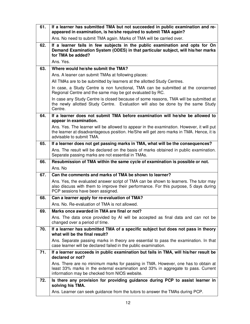| 61. | If a learner has submitted TMA but not succeeded in public examination and re-<br>appeared in examination, is he/she required to submit TMA again?                                                                      |
|-----|-------------------------------------------------------------------------------------------------------------------------------------------------------------------------------------------------------------------------|
|     | Ans. No need to submit TMA again. Marks of TMA will be carried over.                                                                                                                                                    |
| 62. | If a learner fails in few subjects in the public examination and opts for On<br>Demand Examination System (ODES) in that particular subject, will his/her marks<br>for TMA be added?                                    |
|     | Ans. Yes.                                                                                                                                                                                                               |
| 63. | Where would he/she submit the TMA?                                                                                                                                                                                      |
|     | Ans. A leaner can submit TMAs at following places:                                                                                                                                                                      |
|     | All TMAs are to be submitted by learners at the allotted Study Centres.                                                                                                                                                 |
|     | In case, a Study Centre is non functional, TMA can be submitted at the concerned<br>Regional Centre and the same may be got evaluated by RC.                                                                            |
|     | In case any Study Centre is closed because of some reasons, TMA will be submitted at<br>the newly allotted Study Centre. Evaluation will also be done by the same Study<br>Centre.                                      |
| 64. | If a learner does not submit TMA before examination will he/she be allowed to<br>appear in examination.                                                                                                                 |
|     | Ans. Yes. The learner will be allowed to appear in the examination. However, it will put<br>the learner at disadvantageous position. He/She will get zero marks in TMA. Hence, it is<br>advisable to submit TMA.        |
| 65. | If a learner does not get passing marks in TMA, what will be the consequences?                                                                                                                                          |
|     | Ans. The result will be declared on the basis of marks obtained in public examination.<br>Separate passing marks are not essential in TMAs.                                                                             |
|     |                                                                                                                                                                                                                         |
| 66. | Resubmission of TMA within the same cycle of examination is possible or not.                                                                                                                                            |
|     | Ans. No                                                                                                                                                                                                                 |
| 67. | Can the comments and marks of TMA be shown to learner?                                                                                                                                                                  |
|     | Ans. Yes, the evaluated answer script of TMA can be shown to learners. The tutor may<br>also discuss with them to improve their performance. For this purpose, 5 days during<br>PCP sessions have been assigned.        |
| 68. | Can a learner apply for re-evaluation of TMA?                                                                                                                                                                           |
|     | Ans. No. Re-evaluation of TMA is not allowed.                                                                                                                                                                           |
| 69. | Marks once awarded in TMA are final or not?                                                                                                                                                                             |
|     | Ans. The data once provided by AI will be accepted as final data and can not be<br>changed over a period of time.                                                                                                       |
| 70. | If a learner has submitted TMA of a specific subject but does not pass in theory<br>what will be the final result?                                                                                                      |
|     | Ans. Separate passing marks in theory are essential to pass the examination. In that<br>case learner will be declared failed in the public examination.                                                                 |
| 71. | If a learner succeeds in public examination but fails in TMA, will his/her result be<br>declared or not?                                                                                                                |
|     | Ans. There are no minimum marks for passing in TMA. However, one has to obtain at<br>least 33% marks in the external examination and 33% in aggregate to pass. Current<br>information may be checked from NIOS website. |
| 72. | Is there any provision for providing guidance during PCP to assist learner in<br>solving his TMA.                                                                                                                       |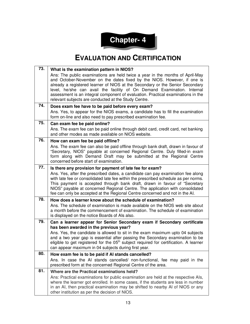

### **EVALUATION AND CERTIFICATION**

| 73. | What is the examination pattern in NIOS?                                                                                                                                                                                                                                                                                                                                                                                                                         |
|-----|------------------------------------------------------------------------------------------------------------------------------------------------------------------------------------------------------------------------------------------------------------------------------------------------------------------------------------------------------------------------------------------------------------------------------------------------------------------|
|     | Ans: The public examinations are held twice a year in the months of April-May<br>and October-November on the dates fixed by the NIOS. However, if one is<br>already a registered learner of NIOS at the Secondary or the Senior Secondary<br>level, he/she can avail the facility of On Demand Examination. Internal<br>assessment is an integral component of evaluation. Practical examinations in the<br>relevant subjects are conducted at the Study Centre. |
| 74. | Does exam fee have to be paid before every exam?                                                                                                                                                                                                                                                                                                                                                                                                                 |
|     | Ans. Yes, to appear for the NIOS exams, a candidate has to fill the examination<br>form on-line and also need to pay prescribed examination fee.                                                                                                                                                                                                                                                                                                                 |
| 75. | Can exam fee be paid online?                                                                                                                                                                                                                                                                                                                                                                                                                                     |
|     | Ans. The exam fee can be paid online through debit card, credit card, net banking<br>and other modes as made available on NIOS website.                                                                                                                                                                                                                                                                                                                          |
| 76. | How can exam fee be paid offline?                                                                                                                                                                                                                                                                                                                                                                                                                                |
|     | Ans. The exam fee can also be paid offline through bank draft, drawn in favour of<br>"Secretary, NIOS" payable at concerned Regional Centre. Duly filled-in exam<br>form along with Demand Draft may be submitted at the Regional Centre<br>concerned before start of examination.                                                                                                                                                                               |
| 77. | Is there any provision for payment of late fee for exam?                                                                                                                                                                                                                                                                                                                                                                                                         |
|     | Ans. Yes, after the prescribed dates, a candidate can pay examination fee along<br>with late fee or consolidated late fee within the prescribed schedule as per norms.<br>This payment is accepted through bank draft, drawn in favour of "Secretary<br>NIOS" payable at concerned Regional Centre. The application with consolidated<br>fee can only be accepted at the Regional Centre concerned and not in the AI.                                            |
| 78. | How does a learner know about the schedule of examination?                                                                                                                                                                                                                                                                                                                                                                                                       |
|     | Ans. The schedule of examination is made available on the NIOS web site about<br>a month before the commencement of examination. The schedule of examination<br>is displayed on the notice Boards of Als also.                                                                                                                                                                                                                                                   |
| 79. | Can a learner appear for Senior Secondary exam if Secondary certificate<br>has been awarded in the previous year?                                                                                                                                                                                                                                                                                                                                                |
|     | Ans. Yes, the candidate is allowed to sit in the exam maximum upto 04 subjects<br>and a two year gap is essential after passing the Secondary examination to be<br>eligible to get registered for the 05 <sup>th</sup> subject required for certification. A learner<br>can appear maximum in 04 subjects during first year.                                                                                                                                     |
| 80. | How exam fee is to be paid if AI stands cancelled?                                                                                                                                                                                                                                                                                                                                                                                                               |
|     | Ans. In case the AI stands cancelled/ non-functional, fee may paid in the<br>prescribed form at the concerned Regional Centre of the area.                                                                                                                                                                                                                                                                                                                       |
| 81. | Where are the Practical examinations held?                                                                                                                                                                                                                                                                                                                                                                                                                       |
|     | Ans: Practical examinations for public examination are held at the respective Als,<br>where the learner got enrolled. In some cases, if the students are less in number<br>in an AI, then practical examination may be shifted to nearby AI of NIOS or any<br>other institution as per the decision of NIOS.                                                                                                                                                     |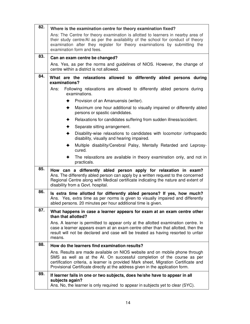| 82. | Where is the examination centre for theory examination fixed?                                                                                                                                                                                                                                                                   |  |  |  |
|-----|---------------------------------------------------------------------------------------------------------------------------------------------------------------------------------------------------------------------------------------------------------------------------------------------------------------------------------|--|--|--|
|     | Ans: The Centre for theory examination is allotted to learners in nearby area of<br>their study centre/AI as per the availability of the school for conduct of theory<br>examination after they register for theory examinations by submitting the<br>examination form and fees.                                                |  |  |  |
| 83. | Can an exam centre be changed?                                                                                                                                                                                                                                                                                                  |  |  |  |
|     | Ans. Yes, as per the norms and guidelines of NIOS. However, the change of<br>centre within a district is not allowed.                                                                                                                                                                                                           |  |  |  |
| 84. | What are the relaxations allowed to differently abled persons during<br>examinations?                                                                                                                                                                                                                                           |  |  |  |
|     | Following relaxations are allowed to differently abled persons during<br>Ans:<br>examinations.                                                                                                                                                                                                                                  |  |  |  |
|     | Provision of an Amanuensis (writer).<br>✦                                                                                                                                                                                                                                                                                       |  |  |  |
|     | Maximum one hour additional to visually impaired or differently abled<br>✦<br>persons or spastic candidates.                                                                                                                                                                                                                    |  |  |  |
|     | Relaxations for candidates suffering from sudden illness/accident.<br>✦                                                                                                                                                                                                                                                         |  |  |  |
|     | Separate sitting arrangement.                                                                                                                                                                                                                                                                                                   |  |  |  |
|     | Disability-wise relaxations to candidates with locomotor /orthopaedic<br>disability, visually and hearing impaired.                                                                                                                                                                                                             |  |  |  |
|     | Multiple disability/Cerebral Palsy, Mentally Retarded and Leprosy-<br>cured.                                                                                                                                                                                                                                                    |  |  |  |
|     | The relaxations are available in theory examination only, and not in<br>practicals.                                                                                                                                                                                                                                             |  |  |  |
| 85. | How can a differently abled person apply for relaxation in exam?<br>Ans. The differently abled person can apply by a written request to the concerned<br>Regional Centre along with Medical certificate indicating the nature and extent of<br>disability from a Govt. hospital.                                                |  |  |  |
| 86. | Is extra time allotted for differently abled persons? If yes, how much?<br>Ans. Yes, extra time as per norms is given to visually impaired and differently<br>abled persons. 20 minutes per hour additional time is given.                                                                                                      |  |  |  |
| 87. | What happens in case a learner appears for exam at an exam centre other<br>than that allotted?                                                                                                                                                                                                                                  |  |  |  |
|     | Ans. A learner is permitted to appear only at the allotted examination centre. In<br>case a learner appears exam at an exam centre other than that allotted, then the<br>result will not be declared and case will be treated as having resorted to unfair<br>means.                                                            |  |  |  |
| 88. | How do the learners find examination results?                                                                                                                                                                                                                                                                                   |  |  |  |
|     | Ans. Results are made available on NIOS website and on mobile phone through<br>SMS as well as at the AI. On successful completion of the course as per<br>certification criteria, a learner is provided Mark sheet, Migration Certificate and<br>Provisional Certificate directly at the address given in the application form. |  |  |  |
| 89. | If learner fails in one or two subjects, does he/she have to appear in all<br>subjects again?<br>Ans. No, the learner is only required to appear in subjects yet to clear (SYC).                                                                                                                                                |  |  |  |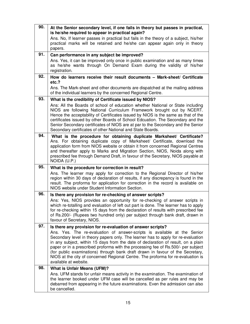| 90. | At the Senior secondary level, if one fails in theory but passes in practical,<br>is he/she required to appear in practical again?                                                                                                                                                                                                                                                                                                                                                                                                     |
|-----|----------------------------------------------------------------------------------------------------------------------------------------------------------------------------------------------------------------------------------------------------------------------------------------------------------------------------------------------------------------------------------------------------------------------------------------------------------------------------------------------------------------------------------------|
|     | Ans. No, If learner passes in practical but fails in the theory of a subject, his/her<br>practical marks will be retained and he/she can appear again only in theory<br>papers.                                                                                                                                                                                                                                                                                                                                                        |
| 91. | Can performance in any subject be improved?                                                                                                                                                                                                                                                                                                                                                                                                                                                                                            |
|     | Ans. Yes, it can be improved only once in public examination and as many times<br>as he/she wants through On Demand Exam during the validity of his/her<br>registration.                                                                                                                                                                                                                                                                                                                                                               |
| 92. | How do learners receive their result documents - Mark-sheet/ Certificate<br>etc.?                                                                                                                                                                                                                                                                                                                                                                                                                                                      |
|     | Ans. The Mark-sheet and other documents are dispatched at the mailing address<br>of the individual learners by the concerned Regional Centre.                                                                                                                                                                                                                                                                                                                                                                                          |
| 93. | What is the credibility of Certificate issued by NIOS?                                                                                                                                                                                                                                                                                                                                                                                                                                                                                 |
|     | Ans: All the Boards of school of education whether National or State including<br>NIOS are following National Curriculum Framework brought out by NCERT.<br>Hence the acceptability of Certificates issued by NIOS is the same as that of the<br>certificates issued by other Boards of School Edcuation. The Secondary and the<br>Senior Secondary certificates of NIOS are at par to the Secondary and the Senior<br>Secondary certificates of other National and State Boards.                                                      |
| 94. | What is the procedure for obtaining duplicate Marksheet/ Certificate?<br>Ans. For obtaining duplicate copy of Marksheet/ Certificate, download the<br>application form from NIOS website or obtain it from concerned Regional Centres<br>and thereafter apply to Marks and Migration Section, NIOS, Noida along with<br>prescribed fee through Demand Draft, in favour of the Secretary, NIOS payable at<br>NOIDA (U.P.)                                                                                                               |
| 95. | What is the procedure for correction in result?                                                                                                                                                                                                                                                                                                                                                                                                                                                                                        |
|     | Ans. The learner may apply for correction to the Regional Director of his/her<br>region within 30 days of declaration of results, if any discrepancy is found in the<br>result. The proforma for application for correction in the record is available on<br>NIOS website under Student Information Section.                                                                                                                                                                                                                           |
| 96. | Is there any provision for re-checking of answer scripts?                                                                                                                                                                                                                                                                                                                                                                                                                                                                              |
|     | Ans: Yes, NIOS provides an opportunity for re-checking of answer scripts in<br>which re-totalling and evaluation of left out part is done. The learner has to apply<br>for re-checking within 15 days from the declaration of results with prescribed fee<br>of Rs.200/- (Rupees two hundred only) per subject through bank draft, drawn in<br>favour of Secretary, NIOS.                                                                                                                                                              |
| 97. | Is there any provision for re-evaluation of answer scripts?                                                                                                                                                                                                                                                                                                                                                                                                                                                                            |
|     | Ans. Yes. The re-evaluation of answer-scripts is available at the Senior<br>Secondary level in theory papers only. The learner has to apply for re-evaluation<br>in any subject, within 15 days from the date of declaration of result, on a plain<br>paper or in a prescribed proforma with the processing fee of Rs.500/- per subject<br>(for public examinations) through bank draft drawn in favour of the Secretary,<br>NIOS at the city of concerned Regional Centre. The proforma for re-evaluation is<br>available at website. |
| 98. | <b>What is Unfair Means (UFM)?</b>                                                                                                                                                                                                                                                                                                                                                                                                                                                                                                     |
|     | Ans. UFM stands for unfair means activity in the examination. The examination of<br>the learner booked under UFM case will be cancelled as per rules and may be<br>debarred from appearing in the future examinations. Even the admission can also<br>be cancelled.                                                                                                                                                                                                                                                                    |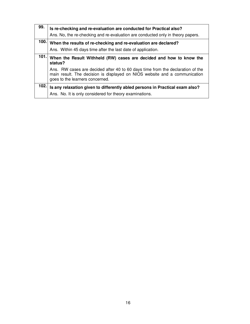| 99.  | Is re-checking and re-evaluation are conducted for Practical also?<br>Ans. No, the re-checking and re-evaluation are conducted only in theory papers.                                           |  |
|------|-------------------------------------------------------------------------------------------------------------------------------------------------------------------------------------------------|--|
| 100. | When the results of re-checking and re-evaluation are declared?<br>Ans. Within 45 days time after the last date of application.                                                                 |  |
| 101. | When the Result Withheld (RW) cases are decided and how to know the<br>status?                                                                                                                  |  |
|      | Ans. RW cases are decided after 40 to 60 days time from the declaration of the<br>main result. The decision is displayed on NIOS website and a communication<br>goes to the learners concerned. |  |
| 102. | Is any relaxation given to differently abled persons in Practical exam also?                                                                                                                    |  |
|      | Ans. No. It is only considered for theory examinations.                                                                                                                                         |  |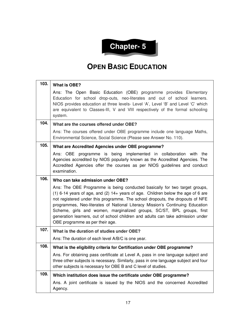

#### **OPEN BASIC EDUCATION**

| 103. | <b>What is OBE?</b>                                                                                                                                                                                                                                                                                                                                                                                                                                                                                                                  |
|------|--------------------------------------------------------------------------------------------------------------------------------------------------------------------------------------------------------------------------------------------------------------------------------------------------------------------------------------------------------------------------------------------------------------------------------------------------------------------------------------------------------------------------------------|
|      | Ans: The Open Basic Education (OBE) programme provides Elementary<br>Education for school drop-outs, neo-literates and out of school learners.<br>NIOS provides education at three levels- Level 'A', Level 'B' and Level 'C' which<br>are equivalent to Classes-III, V and VIII respectively of the formal schooling<br>system.                                                                                                                                                                                                     |
| 104. | What are the courses offered under OBE?                                                                                                                                                                                                                                                                                                                                                                                                                                                                                              |
|      | Ans: The courses offered under OBE programme include one language Maths,<br>Environmental Science, Social Science (Please see Answer No. 110).                                                                                                                                                                                                                                                                                                                                                                                       |
| 105. | What are Accredited Agencies under OBE programme?                                                                                                                                                                                                                                                                                                                                                                                                                                                                                    |
|      | Ans: OBE programme is being implemented in collaboration with<br>the<br>Agencies accredited by NIOS popularly known as the Accredited Agencies. The<br>Accredited Agencies offer the courses as per NIOS guidelines and conduct<br>examination.                                                                                                                                                                                                                                                                                      |
| 106. | Who can take admission under OBE?                                                                                                                                                                                                                                                                                                                                                                                                                                                                                                    |
|      | Ans: The OBE Programme is being conducted basically for two target groups,<br>$(1)$ 6-14 years of age, and $(2)$ 14+ years of age. Children below the age of 6 are<br>not registered under this programme. The school dropouts, the dropouts of NFE<br>programmes, Neo-literates of National Literacy Mission's Continuing Education<br>Scheme, girls and women, marginalized groups, SC/ST, BPL groups, first<br>generation learners, out of school children and adults can take admission under<br>OBE programme as per their age. |
| 107. | What is the duration of studies under OBE?                                                                                                                                                                                                                                                                                                                                                                                                                                                                                           |
|      | Ans: The duration of each level A/B/C is one year.                                                                                                                                                                                                                                                                                                                                                                                                                                                                                   |
| 108. | What is the eligibility criteria for Certification under OBE programme?                                                                                                                                                                                                                                                                                                                                                                                                                                                              |
|      | Ans. For obtaining pass certificate at Level A, pass in one language subject and<br>three other subjects is necessary. Similarly, pass in one language subject and four<br>other subjects is necessary for OBE B and C level of studies.                                                                                                                                                                                                                                                                                             |
| 109. |                                                                                                                                                                                                                                                                                                                                                                                                                                                                                                                                      |
|      | Which institution does issue the certificate under OBE programme?                                                                                                                                                                                                                                                                                                                                                                                                                                                                    |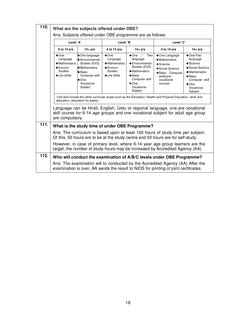| 110. | What are the subjects offered under OBE?                                                                                                   |                                                                                                                                                                                         |                                                                                                                             |                                                                                                                                                                                            |                                                                                                                                                                                                                                                                                                                                                                                                                                                    |                                                                                                                                                                                              |
|------|--------------------------------------------------------------------------------------------------------------------------------------------|-----------------------------------------------------------------------------------------------------------------------------------------------------------------------------------------|-----------------------------------------------------------------------------------------------------------------------------|--------------------------------------------------------------------------------------------------------------------------------------------------------------------------------------------|----------------------------------------------------------------------------------------------------------------------------------------------------------------------------------------------------------------------------------------------------------------------------------------------------------------------------------------------------------------------------------------------------------------------------------------------------|----------------------------------------------------------------------------------------------------------------------------------------------------------------------------------------------|
|      | Ans: Subjects offered under OBE programme are as follows:                                                                                  |                                                                                                                                                                                         |                                                                                                                             |                                                                                                                                                                                            |                                                                                                                                                                                                                                                                                                                                                                                                                                                    |                                                                                                                                                                                              |
|      | Level 'A'<br>Level 'B'<br>Level 'C'                                                                                                        |                                                                                                                                                                                         |                                                                                                                             |                                                                                                                                                                                            |                                                                                                                                                                                                                                                                                                                                                                                                                                                    |                                                                                                                                                                                              |
|      | 6 to 14 yrs                                                                                                                                | $14 + yrs$                                                                                                                                                                              | 6 to 14 yrs                                                                                                                 | $14 + yrs$                                                                                                                                                                                 | 6 to 14 yrs                                                                                                                                                                                                                                                                                                                                                                                                                                        | $14 + yrs$                                                                                                                                                                                   |
|      | $\triangle$ One<br>Language<br>$\triangle$ Mathematics<br>$\triangle$ Environ.<br><b>Studies</b><br><b>◆Life Skills</b><br>are compulsory. | ◆ One language<br>Environmental<br>Studies (EVS)<br>♦ Mathematics<br>$\triangle$ Basic<br>Computer skill<br>$\triangle$ One<br>Vocational<br>Subject<br>education, education for peace. | $\triangle$ One<br>Language<br>$\triangleleft$ Mathematics<br>$\triangle$ Environ.<br><b>Studies</b><br><b>◆Life Skills</b> | Two<br>$\triangle$ One /<br>language<br>← Environmental<br>Studies (EVS)<br>$\triangleleft$ Mathematics<br>$\triangle$ Basic<br>Computer skill<br>$\triangle$ One<br>Vocational<br>Subject | $\triangle$ One Language<br>$\triangleleft$ Mathematics<br>$\triangle$ Science<br>◆ Social Science<br>◆Basic Computer<br>skills/pre-<br>vocational<br>courses<br>*Life skill include the other curricular areas such as Art Education, Health and Physical Education, work and<br>Language can be Hindi, English, Urdu or regional language, one pre vocational<br>skill course for 6-14 age groups and one vocational subject for adult age group | $\triangle$ One/Two<br>language<br>$\triangle$ Science<br>◆ Social Science<br>$\triangleleft$ Mathematics<br>$\triangle$ Basic<br>Computer skill<br>$\triangle$ One<br>Vocational<br>Subject |
| 111. |                                                                                                                                            |                                                                                                                                                                                         |                                                                                                                             | What is the study time of under OBE Programme?                                                                                                                                             |                                                                                                                                                                                                                                                                                                                                                                                                                                                    |                                                                                                                                                                                              |
|      |                                                                                                                                            |                                                                                                                                                                                         |                                                                                                                             |                                                                                                                                                                                            | Ans: The curriculum is based upon at least 100 hours of study time per subject.<br>Of this, 50 hours are to be at the study centre and 50 hours are for self-study.                                                                                                                                                                                                                                                                                |                                                                                                                                                                                              |
|      |                                                                                                                                            |                                                                                                                                                                                         |                                                                                                                             |                                                                                                                                                                                            | However, in case of primary level, where 6-14 year age group learners are the<br>target, the number of study hours may be increased by Accredited Agency (AA).                                                                                                                                                                                                                                                                                     |                                                                                                                                                                                              |
| 112. |                                                                                                                                            |                                                                                                                                                                                         |                                                                                                                             |                                                                                                                                                                                            | Who will conduct the examination of A/B/C levels under OBE Programme?                                                                                                                                                                                                                                                                                                                                                                              |                                                                                                                                                                                              |
|      |                                                                                                                                            |                                                                                                                                                                                         |                                                                                                                             |                                                                                                                                                                                            | Ans: The examination will to conducted by the Accredited Agency (AA) After the<br>examination is over, AA sends the result to NIOS for printing of joint certificates.                                                                                                                                                                                                                                                                             |                                                                                                                                                                                              |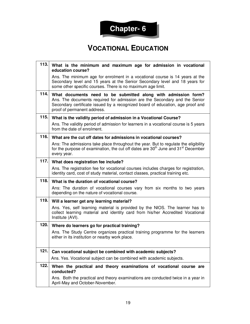

#### **VOCATIONAL EDUCATION**

| 113. | What is the minimum and maximum age for admission in vocational<br>education course?                                                                                                                                                                          |
|------|---------------------------------------------------------------------------------------------------------------------------------------------------------------------------------------------------------------------------------------------------------------|
|      | Ans. The minimum age for enrolment in a vocational course is 14 years at the<br>Secondary level and 15 years at the Senior Secondary level and 18 years for<br>some other specific courses. There is no maximum age limit.                                    |
| 114. | What documents need to be submitted along with admission form?<br>Ans. The documents required for admission are the Secondary and the Senior<br>Secondary certificate issued by a recognized board of education, age proof and<br>proof of permanent address. |
| 115. | What is the validity period of admission in a Vocational Course?                                                                                                                                                                                              |
|      | Ans. The validity period of admission for learners in a vocational course is 5 years<br>from the date of enrolment.                                                                                                                                           |
| 116. | What are the cut off dates for admissions in vocational courses?                                                                                                                                                                                              |
|      | Ans: The admissions take place throughout the year. But to regulate the eligibility<br>for the purpose of examination, the cut off dates are 30 <sup>th</sup> June and 31 <sup>st</sup> December<br>every year.                                               |
| 117. | What does registration fee include?                                                                                                                                                                                                                           |
|      | Ans. The registration fee for vocational courses includes charges for registration,<br>identity card, cost of study material, contact classes, practical training etc.                                                                                        |
| 118. | What is the duration of vocational course?                                                                                                                                                                                                                    |
|      | Ans: The duration of vocational courses vary from six months to two years<br>depending on the nature of vocational course.                                                                                                                                    |
| 119. | Will a learner get any learning material?                                                                                                                                                                                                                     |
|      | Ans. Yes, self learning material is provided by the NIOS. The learner has to<br>collect learning material and identity card from his/her Accredited Vocational<br>Institute (AVI).                                                                            |
| 120. | Where do learners go for practical training?                                                                                                                                                                                                                  |
|      | Ans. The Study Centre organizes practical training programme for the learners<br>either in its institution or nearby work place.                                                                                                                              |
| 121. | Can vocational subject be combined with academic subjects?                                                                                                                                                                                                    |
|      | Ans. Yes. Vocational subject can be combined with academic subjects.                                                                                                                                                                                          |
| 122. | When the practical and theory examinations of vocational course are<br>conducted?                                                                                                                                                                             |
|      | Ans. Both the practical and theory examinations are conducted twice in a year in<br>April-May and October-November.                                                                                                                                           |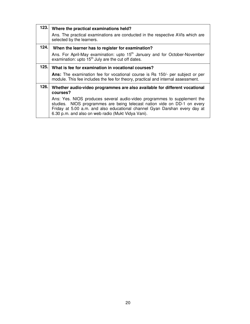| 123. | Where the practical examinations held?<br>Ans. The practical examinations are conducted in the respective AVIs which are<br>selected by the learners.                                                                                                                                    |  |  |
|------|------------------------------------------------------------------------------------------------------------------------------------------------------------------------------------------------------------------------------------------------------------------------------------------|--|--|
| 124. | When the learner has to register for examination?<br>Ans. For April-May examination: upto 15 <sup>th</sup> January and for October-November<br>examination: upto 15 <sup>th</sup> July are the cut off dates.                                                                            |  |  |
| 125. | What is fee for examination in vocational courses?                                                                                                                                                                                                                                       |  |  |
|      | <b>Ans:</b> The examination fee for vocational course is Rs 150/- per subject or per<br>module. This fee includes the fee for theory, practical and internal assessment.                                                                                                                 |  |  |
| 126. | Whether audio-video programmes are also available for different vocational<br>courses?                                                                                                                                                                                                   |  |  |
|      | Ans: Yes. NIOS produces several audio-video programmes to supplement the<br>studies. NIOS programmes are being telecast nation vide on DD-1 on every<br>Friday at 5.00 a.m. and also educational channel Gyan Darshan every day at<br>6.30 p.m. and also on web radio (Mukt Vidya Vani). |  |  |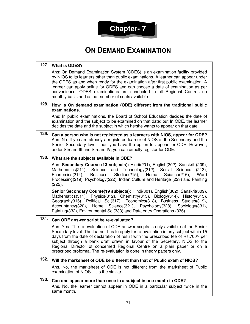

### **ON DEMAND EXAMINATION**

| 127. | <b>What is ODES?</b>                                                                                                                                                                                                                                                                                                                                                                                                                                                                               |
|------|----------------------------------------------------------------------------------------------------------------------------------------------------------------------------------------------------------------------------------------------------------------------------------------------------------------------------------------------------------------------------------------------------------------------------------------------------------------------------------------------------|
|      | Ans: On Demand Examination System (ODES) is an examination facility provided<br>by NIOS to its learners other than public examinations. A learner can appear under<br>the ODES as and when ready for the examination after first public examination. A<br>learner can apply online for ODES and can choose a date of examination as per<br>convenience. ODES examinations are conducted in all Regional Centres on<br>monthly basis and as per number of seats available.                          |
| 128. | How is On demand examination (ODE) different from the traditional public<br>examinations.                                                                                                                                                                                                                                                                                                                                                                                                          |
|      | Ans: In public examinations, the Board of School Education decides the date of<br>examination and the subject to be examined on that date; but In ODE, the learner<br>decides the date and the subject in which he/she wants to appear on that date.                                                                                                                                                                                                                                               |
| 129. | Can a person who is not registered as a learners with NIOS, appear for ODE?<br>Ans: No. If you are already a registered learner of NIOS at the Secondary and the<br>Senior Secondary level, then you have the option to appear for ODE. However,<br>under Stream-III and Stream-IV, you can directly register for ODE.                                                                                                                                                                             |
| 130. | What are the subjects available in ODE?                                                                                                                                                                                                                                                                                                                                                                                                                                                            |
|      | Ans: Secondary Course (13 subjects): Hindi(201), English(202), Sanskrit (209),<br>Mathematics(211), Science and Technology(212), Social<br>Science<br>(213),<br>Economics(214), Business Studies(215), Home Science(216),<br>Word<br>Processing(219), Psychology(222), Indian Culture and Heritage (223) and Painting<br>(225).                                                                                                                                                                    |
|      | Senior Secondary Course(19 subjects): Hindi(301), English(302), Sanskrit(309),<br>Mathematics(311), Physics(312), Chemistry(313), Biology(314), History(315),<br>Geography316), Political Sc. (317), Economics (318), Business Studies (319),<br>Accountancy(320), Home Science(321), Psychology(328), Sociology(331),<br>Painting(332), Environmental Sc.(333) and Data entry Operations (336).                                                                                                   |
| 131. | Can ODE answer script be re-evaluated?                                                                                                                                                                                                                                                                                                                                                                                                                                                             |
|      | Ans. Yes. The re-evaluation of ODE answer scripts is only available at the Senior<br>Secondary level. The learner has to apply for re-evaluation in any subject within 15<br>days from the date of declaration of result with the prescribed fee of Rs.700/- per<br>subject through a bank draft drawn in favour of the Secretary, NIOS to the<br>Regional Director of concerned Regional Centre on a plain paper or on a<br>prescribed proforma. The re-evaluation is done in theory papers only. |
| 132. | Will the marksheet of ODE be different than that of Public exam of NIOS?                                                                                                                                                                                                                                                                                                                                                                                                                           |
|      | Ans. No, the marksheet of ODE is not different from the marksheet of Public<br>examination of NIOS. It is the similar.                                                                                                                                                                                                                                                                                                                                                                             |
| 133. | Can one appear more than once in a subject in one month in ODE?<br>Ans. No, the learner cannot appear in ODE in a particular subject twice in the<br>same month.                                                                                                                                                                                                                                                                                                                                   |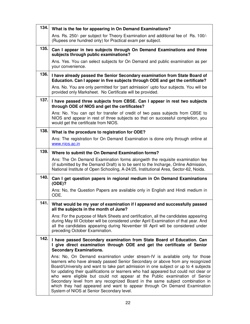| 134. | What is the fee for appearing in On Demand Examinations?                                                                                                                                                                                                                                                                                                                                                                                                                                                                                                                                                                            |
|------|-------------------------------------------------------------------------------------------------------------------------------------------------------------------------------------------------------------------------------------------------------------------------------------------------------------------------------------------------------------------------------------------------------------------------------------------------------------------------------------------------------------------------------------------------------------------------------------------------------------------------------------|
|      | Ans. Rs. 250/- per subject for Theory Examination and additional fee of Rs. 100/-<br>(Rupees one hundred only) for Practical exam per subject.                                                                                                                                                                                                                                                                                                                                                                                                                                                                                      |
| 135. | Can I appear in two subjects through On Demand Examinations and three<br>subjects through public examinations?                                                                                                                                                                                                                                                                                                                                                                                                                                                                                                                      |
|      | Ans. Yes. You can select subjects for On Demand and public examination as per<br>your convenience.                                                                                                                                                                                                                                                                                                                                                                                                                                                                                                                                  |
| 136. | I have already passed the Senior Secondary examination from State Board of<br>Education. Can I appear in five subjects through ODE and get the certificate?                                                                                                                                                                                                                                                                                                                                                                                                                                                                         |
|      | Ans. No. You are only permitted for 'part admission' upto four subjects. You will be<br>provided only Marksheet. No Certificate will be provided.                                                                                                                                                                                                                                                                                                                                                                                                                                                                                   |
| 137. | I have passed three subjects from CBSE. Can I appear in rest two subjects<br>through ODE of NIOS and get the certificates?                                                                                                                                                                                                                                                                                                                                                                                                                                                                                                          |
|      | Ans: No. You can opt for transfer of credit of two pass subjects from CBSE to<br>NIOS and appear in rest of three subjects so that on successful completion, you<br>would get the certificate from NIOS.                                                                                                                                                                                                                                                                                                                                                                                                                            |
| 138. | What is the procedure to registration for ODE?                                                                                                                                                                                                                                                                                                                                                                                                                                                                                                                                                                                      |
|      | Ans: The registration for On Demand Examination is done only through online at<br>www.nios.ac.in                                                                                                                                                                                                                                                                                                                                                                                                                                                                                                                                    |
| 139. | Where to submit the On Demand Examination forms?                                                                                                                                                                                                                                                                                                                                                                                                                                                                                                                                                                                    |
|      | Ans: The On Demand Examination forms alongwith the requisite examination fee<br>(if submitted by the Demand Draft) is to be sent to the Incharge, Online Admission,<br>National Institute of Open Schooling, A-24/25, Institutional Area, Sector-62, Noida.                                                                                                                                                                                                                                                                                                                                                                         |
| 140. | Can I get question papers in regional medium in On Demand Examinations<br>(ODE)?                                                                                                                                                                                                                                                                                                                                                                                                                                                                                                                                                    |
|      | Ans: No, the Question Papers are available only in English and Hindi medium in<br>ODE.                                                                                                                                                                                                                                                                                                                                                                                                                                                                                                                                              |
| 141. | What would be my year of examination if I appeared and successfully passed<br>all the subjects in the month of June?                                                                                                                                                                                                                                                                                                                                                                                                                                                                                                                |
|      | Ans: For the purpose of Mark Sheets and certification, all the candidates appearing<br>during May till October will be considered under April Examination of that year. And<br>all the candidates appearing during November till April will be considered under<br>preceding October Examination.                                                                                                                                                                                                                                                                                                                                   |
| 142. | I have passed Secondary examination from State Board of Education. Can<br>I give direct examination through ODE and get the certificate of Senior<br><b>Secondary Examinations.</b>                                                                                                                                                                                                                                                                                                                                                                                                                                                 |
|      | Ans: No, On Demand examination under stream-IV is available only for those<br>learners who have already passed Senior Secondary or above from any recognized<br>Board/University and want to take part admission in one subject or up to 4 subjects<br>for updating their qualifications or learners who had appeared but could not clear or<br>who were eligible but could not appear at the Public examination of Senior<br>Secondary level from any recognized Board in the same subject combination in<br>which they had appeared and want to appear through On Demand Examination<br>System of NIOS at Senior Secondary level. |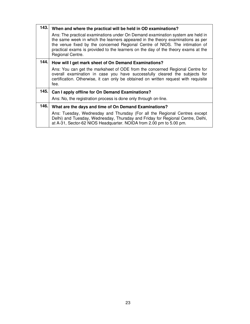| 143. | When and where the practical will be held in OD examinations?                                                                                                                                                                                                                                                                                            |  |  |
|------|----------------------------------------------------------------------------------------------------------------------------------------------------------------------------------------------------------------------------------------------------------------------------------------------------------------------------------------------------------|--|--|
|      | Ans: The practical examinations under On Demand examination system are held in<br>the same week in which the learners appeared in the theory examinations as per<br>the venue fixed by the concerned Regional Centre of NIOS. The intimation of<br>practical exams is provided to the learners on the day of the theory exams at the<br>Regional Centre. |  |  |
| 144. | How will I get mark sheet of On Demand Examinations?                                                                                                                                                                                                                                                                                                     |  |  |
|      | Ans: You can get the marksheet of ODE from the concerned Regional Centre for<br>overall examination in case you have successfully cleared the subjects for<br>certification. Otherwise, it can only be obtained on written request with requisite<br>fee.                                                                                                |  |  |
| 145. | Can I apply offline for On Demand Examinations?                                                                                                                                                                                                                                                                                                          |  |  |
|      | Ans: No, the registration process is done only through on-line.                                                                                                                                                                                                                                                                                          |  |  |
| 146. | What are the days and time of On Demand Examinations?                                                                                                                                                                                                                                                                                                    |  |  |
|      | Ans: Tuesday, Wednesday and Thursday (For all the Regional Centres except<br>Delhi) and Tuesday, Wednesday, Thursday and Friday for Regional Centre, Delhi,<br>at A-31, Sector-62 NIOS Headquarter. NOIDA from 2.00 pm to 5.00 pm.                                                                                                                       |  |  |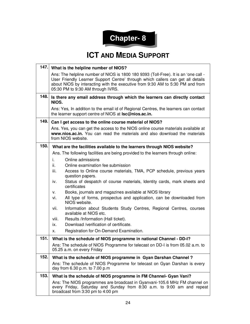

#### **ICT AND MEDIA SUPPORT**

|      | 147. What is the helpline number of NIOS?                                                                                                                                                                                                                                                    |  |  |
|------|----------------------------------------------------------------------------------------------------------------------------------------------------------------------------------------------------------------------------------------------------------------------------------------------|--|--|
|      | Ans: The helpline number of NIOS is 1800 180 9393 (Toll-Free). It is an 'one call -<br>User Friendly Learner Support Centre' through which callers can get all details<br>about NIOS by interacting with the executive from 9:30 AM to 5:30 PM and from<br>05:30 PM to 9:30 AM through IVRS. |  |  |
| 148. | Is there any email address through which the learners can directly contact<br>NIOS.                                                                                                                                                                                                          |  |  |
|      | Ans: Yes, In addition to the email id of Regional Centres, the learners can contact<br>the learner support centre of NIOS at <b>Isc@nios.ac.in.</b>                                                                                                                                          |  |  |
| 149. | Can I get access to the online course material of NIOS?                                                                                                                                                                                                                                      |  |  |
|      | Ans. Yes, you can get the access to the NIOS online course materials available at<br>www.nios.ac.in. You can read the materials and also download the materials<br>from NIOS website.                                                                                                        |  |  |
| 150. | What are the facilities available to the learners through NIOS website?                                                                                                                                                                                                                      |  |  |
|      | Ans. The following facilities are being provided to the learners through online:                                                                                                                                                                                                             |  |  |
|      | Online admissions<br>i.                                                                                                                                                                                                                                                                      |  |  |
|      | Online examination fee submission<br>ii.                                                                                                                                                                                                                                                     |  |  |
|      | iii.<br>Access to Online course materials, TMA, PCP schedule, previous years<br>question papers.                                                                                                                                                                                             |  |  |
|      | Status of despatch of course materials, Identity cards, mark sheets and<br>iv.<br>certificates                                                                                                                                                                                               |  |  |
|      | Books, journals and magazines available at NIOS library<br>v.                                                                                                                                                                                                                                |  |  |
|      | All type of forms, prospectus and application, can be downloaded from<br>vi.<br>NIOS website.                                                                                                                                                                                                |  |  |
|      | vii.<br>Information about Students Study Centres, Regional Centres, courses<br>available at NIOS etc.                                                                                                                                                                                        |  |  |
|      | Results /Information (Hall ticket).<br>viii.                                                                                                                                                                                                                                                 |  |  |
|      | Download /verification of certificate.<br>ix.                                                                                                                                                                                                                                                |  |  |
|      | Registration for On-Demand Examination.<br>х.                                                                                                                                                                                                                                                |  |  |
| 151. | What is the schedule of NIOS programme in national Channel - DD-I?                                                                                                                                                                                                                           |  |  |
|      | Ans: The schedule of NIOS Programme for telecast on DD-I is from 05.02 a.m. to<br>05.25 a.m. on every Friday                                                                                                                                                                                 |  |  |
| 152. | What is the schedule of NIOS programme in Gyan Darshan Channel?                                                                                                                                                                                                                              |  |  |
|      | Ans: The schedule of NIOS Programme for telecast on Gyan Darshan is every<br>day from 6.30 p.m. to 7.00 p.m                                                                                                                                                                                  |  |  |
| 153. | What is the schedule of NIOS programme in FM Channel- Gyan Vani?                                                                                                                                                                                                                             |  |  |
|      | Ans: The NIOS programmes are broadcast in Gyanvani-105.6 MHz FM channel on<br>every Friday, Saturday and Sunday from 8:30 a.m. to 9:00 am and repeat<br>broadcast from 3:30 pm to 4:00 pm                                                                                                    |  |  |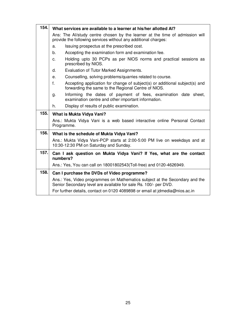| 154. | What services are available to a learner at his/her allotted AI?                                                                                   |  |  |
|------|----------------------------------------------------------------------------------------------------------------------------------------------------|--|--|
|      | Ans: The Al/study centre chosen by the learner at the time of admission will<br>provide the following services without any additional charges:     |  |  |
|      | Issuing prospectus at the prescribed cost.<br>a.                                                                                                   |  |  |
|      | Accepting the examination form and examination fee.<br>b.                                                                                          |  |  |
|      | Holding upto 30 PCPs as per NIOS norms and practical sessions as<br>C.<br>prescribed by NIOS.                                                      |  |  |
|      | Evaluation of Tutor Marked Assignments.<br>d.                                                                                                      |  |  |
|      | Counselling, solving problems/quarries related to course.<br>е.                                                                                    |  |  |
|      | $f_{\rm{L}}$<br>Accepting application for change of subject(s) or additional subject(s) and<br>forwarding the same to the Regional Centre of NIOS. |  |  |
|      | Informing the dates of payment of fees, examination date sheet,<br>g.<br>examination centre and other important information.                       |  |  |
|      | Display of results of public examination.<br>h.                                                                                                    |  |  |
| 155. | What is Mukta Vidya Vani?                                                                                                                          |  |  |
|      | Ans.: Mukta Vidya Vani is a web based interactive online Personal Contact<br>Programme.                                                            |  |  |
| 156. | What is the schedule of Mukta Vidya Vani?                                                                                                          |  |  |
|      | Ans.: Mukta Vidya Vani-PCP starts at 2:00-5:00 PM live on weekdays and at<br>10:30-12:30 PM on Saturday and Sunday.                                |  |  |
| 157. | Can I ask question on Mukta Vidya Vani? If Yes, what are the contact<br>numbers?                                                                   |  |  |
|      | Ans.: Yes, You can call on 18001802543(Toll-free) and 0120-4626949.                                                                                |  |  |
| 158. | Can I purchase the DVDs of Video programme?                                                                                                        |  |  |
|      | Ans.: Yes, Video programmes on Mathematics subject at the Secondary and the<br>Senior Secondary level are available for sale Rs. 100/- per DVD.    |  |  |
|      | For further details, contact on 0120 4089898 or email at jdmedia@nios.ac.in                                                                        |  |  |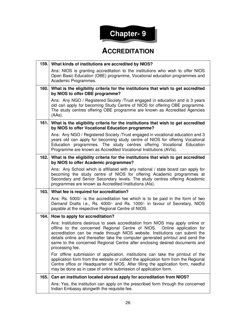

#### **ACCREDITATION**

| 159. | What kinds of institutions are accredited by NIOS?                                                                                                                                                                                                                                                                                                                                                                                |
|------|-----------------------------------------------------------------------------------------------------------------------------------------------------------------------------------------------------------------------------------------------------------------------------------------------------------------------------------------------------------------------------------------------------------------------------------|
|      | Ans: NIOS is granting accreditation to the institutions who wish to offer NIOS<br>Open Basic Education (OBE) programme, Vocational education programmes and<br>Academic Programmes.                                                                                                                                                                                                                                               |
| 160. | What is the eligibility criteria for the institutions that wish to get accredited<br>by NIOS to offer OBE programme?                                                                                                                                                                                                                                                                                                              |
|      | Ans: Any NGO / Registered Society / Trust engaged in education and is 3 years<br>old can apply for becoming Study Centre of NIOS for offering OBE programme.<br>The study centres offering OBE programme are known as Accredited Agencies<br>$(AAs)$ .                                                                                                                                                                            |
| 161. | What is the eligibility criteria for the institutions that wish to get accredited<br>by NIOS to offer Vocational Education programme?                                                                                                                                                                                                                                                                                             |
|      | Ans: Any NGO / Registered Society / Trust engaged in vocational education and 3<br>years old can apply for becoming study centre of NIOS for offering Vocational<br>Education programmes. The study centres offering Vocational Education<br>Programme are known as Accredited Vocational Institutions (AVIs).                                                                                                                    |
| 162. | What is the eligibility criteria for the institutions that wish to get accredited<br>by NIOS to offer Academic programmes?                                                                                                                                                                                                                                                                                                        |
|      | Ans: Any School which is affiliated with any national / state board can apply for<br>becoming the study centre of NIOS for offering Academic programmes at<br>Secondary and Senior Secondary levels. The study centres offering Academic<br>programmes are known as Accredited Institutions (Als).                                                                                                                                |
| 163. | What fee is required for accreditation?                                                                                                                                                                                                                                                                                                                                                                                           |
|      | Ans: Rs. 5000/- is the accreditation fee which is to be paid in the form of two<br>Demand Drafts i.e., Rs. 4000/- and Rs. 1000/- in favour of Secretary, NIOS<br>payable at the respective Regional Centre of NIOS.                                                                                                                                                                                                               |
| 164. | How to apply for accreditation?                                                                                                                                                                                                                                                                                                                                                                                                   |
|      | Ans: Institutions desirous to seek accreditation from NIOS may apply online or<br>offline to the concerned Regional Centre of NIOS.<br>Online application for<br>accreditation can be made through NIOS website. Institutions can submit the<br>details online and thereafter take the computer generated printout and send the<br>same to the concerned Regional Centre after enclosing desired documents and<br>processing fee. |
|      | For offline submission of application, institutions can take the printout of the<br>application form from the website or collect the application form from the Regional<br>Centre office or Headquarter of NIOS. After filling the application form, needful<br>may be done as in case of online submission of application form.                                                                                                  |
| 165. | Can an institution located abroad apply for accreditation from NIOS?                                                                                                                                                                                                                                                                                                                                                              |
|      | Ans: Yes, the institution can apply on the prescribed form through the concerned<br>Indian Embassy alongwith the requisite fee.                                                                                                                                                                                                                                                                                                   |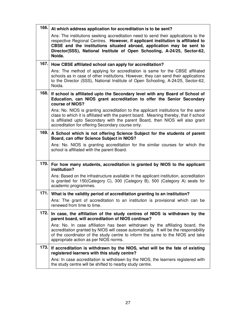| 166. | At which address application for accreditation is to be sent?                                                                                                                                                                                                                                                                        |
|------|--------------------------------------------------------------------------------------------------------------------------------------------------------------------------------------------------------------------------------------------------------------------------------------------------------------------------------------|
|      | Ans: The institutions seeking accreditation need to send their applications to the<br>respective Regional Centres. However, if applicant institution is affiliated to<br>CBSE and the institutions situated abroad, application may be sent to<br>Director(SSS), National Institute of Open Schooling, A-24/25, Sector-62,<br>Noida. |
| 167. | How CBSE affiliated school can apply for accreditation?                                                                                                                                                                                                                                                                              |
|      | Ans: The method of applying for accreditation is same for the CBSE affiliated<br>schools as in case of other institutions. However, they can send their applications<br>to the Director (SSS), National Institute of Open Schooling, A-24/25, Sector-62,<br>Noida.                                                                   |
| 168. | If school is affiliated upto the Secondary level with any Board of School of<br>Education, can NIOS grant accreditation to offer the Senior Secondary<br>course of NIOS?                                                                                                                                                             |
|      | Ans: No. NIOS is granting accreditation to the applicant institutions for the same<br>class to which it is affiliated with the parent board. Meaning thereby, that if school<br>is affiliated upto Secondary with the parent Board, then NIOS will also grant<br>accreditation for offering Secondary course only.                   |
| 169. | A School which is not offering Science Subject for the students of parent<br>Board, can offer Science Subject in NIOS?                                                                                                                                                                                                               |
|      | Ans: No. NIOS is granting accreditation for the similar courses for which the<br>school is affiliated with the parent Board.                                                                                                                                                                                                         |
| 170. | For how many students, accreditation is granted by NIOS to the applicant<br>institution?                                                                                                                                                                                                                                             |
|      | Ans: Based on the infrastructure available in the applicant institution, accreditation<br>is granted for 150(Category C), 300 (Category B), 500 (Category A) seats for<br>academic programmes.                                                                                                                                       |
| 171. | What is the validity period of accreditation granting to an institution?                                                                                                                                                                                                                                                             |
|      | Ans: The grant of accreditation to an institution is provisional which can be<br>renewed from time to time.                                                                                                                                                                                                                          |
| 172. | In case, the affiliation of the study centres of NIOS is withdrawn by the<br>parent board, will accreditation of NIOS continue?                                                                                                                                                                                                      |
|      | Ans: No. In case affiliation has been withdrawn by the affiliating board, the<br>accreditation granted by NIOS will cease automatically. It will be the responsibility<br>of the coordinator of the study centre to inform the same to the NIOS and take<br>appropriate action as per NIOS norms.                                    |
| 173. | If accreditation is withdrawn by the NIOS, what will be the fate of existing<br>registered learners with this study centre?                                                                                                                                                                                                          |
|      | Ans: In case accreditation is withdrawn by the NIOS, the learners registered with<br>the study centre will be shifted to nearby study centre.                                                                                                                                                                                        |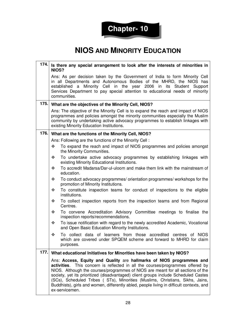

#### **NIOS AND MINORITY EDUCATION**

| 174. | Is there any special arrangement to look after the interests of minorities in<br>NIOS?                                                                                                                                                                                                                                                                                                                                                                                                                                          |  |  |
|------|---------------------------------------------------------------------------------------------------------------------------------------------------------------------------------------------------------------------------------------------------------------------------------------------------------------------------------------------------------------------------------------------------------------------------------------------------------------------------------------------------------------------------------|--|--|
|      | Ans: As per decision taken by the Government of India to form Minority Cell<br>in all Departments and Autonomous Bodies of the MHRD, the NIOS has<br>established a Minority Cell in the year 2006 in its Student<br>Support<br>Services Department to pay special attention to educational needs of minority<br>communities.                                                                                                                                                                                                    |  |  |
| 175. | What are the objectives of the Minority Cell, NIOS?                                                                                                                                                                                                                                                                                                                                                                                                                                                                             |  |  |
|      | Ans: The objective of the Minority Cell is to expand the reach and impact of NIOS<br>programmes and policies amongst the minority communities especially the Muslim<br>community by undertaking active advocacy programmes to establish linkages with<br>existing Minority Education Institutions.                                                                                                                                                                                                                              |  |  |
| 176. | What are the functions of the Minority Cell, NIOS?                                                                                                                                                                                                                                                                                                                                                                                                                                                                              |  |  |
|      | Ans: Following are the functions of the Minority Cell:                                                                                                                                                                                                                                                                                                                                                                                                                                                                          |  |  |
|      | ❖<br>To expand the reach and impact of NIOS programmes and policies amongst<br>the Minority Communities.                                                                                                                                                                                                                                                                                                                                                                                                                        |  |  |
|      | ❖<br>To undertake active advocacy programmes by establishing linkages with<br>existing Minority Educational Institutions.                                                                                                                                                                                                                                                                                                                                                                                                       |  |  |
|      | To accredit Madarsa/Dar-ul-uloom and make them link with the mainstream of<br>❖<br>education.                                                                                                                                                                                                                                                                                                                                                                                                                                   |  |  |
|      | To conduct advocacy programmes/ orientation programmes/ workshops for the<br>❖<br>promotion of Minority Institutions.                                                                                                                                                                                                                                                                                                                                                                                                           |  |  |
|      | ❖<br>To constitute inspection teams for conduct of inspections to the eligible<br>institutions.                                                                                                                                                                                                                                                                                                                                                                                                                                 |  |  |
|      | To collect inspection reports from the inspection teams and from Regional<br>❖<br>Centres.                                                                                                                                                                                                                                                                                                                                                                                                                                      |  |  |
|      | To convene Accreditation Advisory Committee meetings to finalise the<br>❖<br>inspection reports/recommendations.                                                                                                                                                                                                                                                                                                                                                                                                                |  |  |
|      | To issue notification with regard to the newly accredited Academic, Vocational<br>❖<br>and Open Basic Education Minority Institutions.                                                                                                                                                                                                                                                                                                                                                                                          |  |  |
|      | To collect data of learners from those accredited centres of NIOS<br>❖<br>which are covered under SPQEM scheme and forward to MHRD for claim<br>purposes.                                                                                                                                                                                                                                                                                                                                                                       |  |  |
| 177. | What educational Initiatives for Minorities have been taken by NIOS?                                                                                                                                                                                                                                                                                                                                                                                                                                                            |  |  |
|      | Ans: Access, Equity and Quality are hallmarks of NIOS programmes and<br>activities. This concern is reflected in all the courses/programmes offered by<br>NIOS. Although the courses/programmes of NIOS are meant for all sections of the<br>society, yet its prioritized (disadvantaged) client groups include Scheduled Castes<br>(SCs), Scheduled Tribes (STs), Minorities (Muslims, Christians, Sikhs, Jains,<br>Buddhists), girls and women, differently abled, people living in difficult contexts, and<br>ex-servicemen. |  |  |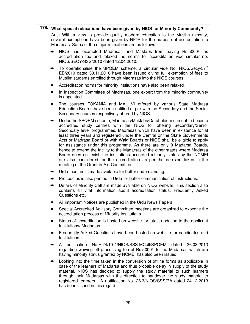| 178.                | What special relaxations have been given by NIOS for Minority Community?                                                                                                                                                   |                                                                                                                                                                                                                                                                                                                                                                                                                                                                                                                                                                                                                                                                                                                                                                 |  |
|---------------------|----------------------------------------------------------------------------------------------------------------------------------------------------------------------------------------------------------------------------|-----------------------------------------------------------------------------------------------------------------------------------------------------------------------------------------------------------------------------------------------------------------------------------------------------------------------------------------------------------------------------------------------------------------------------------------------------------------------------------------------------------------------------------------------------------------------------------------------------------------------------------------------------------------------------------------------------------------------------------------------------------------|--|
|                     | Ans: With a view to provide quality modern education to the Muslim minority,<br>several exemptions have been given by NIOS for the purpose of accreditation to<br>Madarsas. Some of the major relaxations are as follows:- |                                                                                                                                                                                                                                                                                                                                                                                                                                                                                                                                                                                                                                                                                                                                                                 |  |
|                     | ✦                                                                                                                                                                                                                          | NIOS has exempted Madrasas and Maktabs from paying Rs.5000/- as<br>accreditation fee and relaxed the norms for accreditation vide circular no.<br>NIOS/SECY/SSS/2010 dated 12.04.2010.                                                                                                                                                                                                                                                                                                                                                                                                                                                                                                                                                                          |  |
|                     | ✦                                                                                                                                                                                                                          | To operationalise the SPQEM scheme, a circular vide No. NIOS/Secy/57 <sup>th</sup><br>EB/2010 dated 30.11.2010 have been issued giving full exemption of fees to<br>Muslim students enrolled through Madrasas into the NIOS courses.                                                                                                                                                                                                                                                                                                                                                                                                                                                                                                                            |  |
|                     | ✦                                                                                                                                                                                                                          | Accreditation norms for minority institutions have also been relaxed.                                                                                                                                                                                                                                                                                                                                                                                                                                                                                                                                                                                                                                                                                           |  |
|                     | ✦                                                                                                                                                                                                                          | In Inspection Committee of Madrasas, one expert from the minority community<br>is appointed.                                                                                                                                                                                                                                                                                                                                                                                                                                                                                                                                                                                                                                                                    |  |
|                     | ✦                                                                                                                                                                                                                          | The courses FOKANIA and MAULVI offered by various State Madrasa<br>Education Boards have been notified at par with the Secondary and the Senior<br>Secondary courses respectively offered by NIOS.                                                                                                                                                                                                                                                                                                                                                                                                                                                                                                                                                              |  |
|                     | ◆                                                                                                                                                                                                                          | Under the SPQEM scheme, Madrasas/Maktabs/Darul-uloom can opt to become<br>accredited study centres with the NIOS for offering Secondary/Senior<br>Secondary level programmes. Madrasas which have been in existence for at<br>least three years and registered under the Central or the State Governments<br>Acts or Madrasa Board or with Wakf Boards or NIOS shall be eligible to apply<br>for assistance under this programme. As there are only 8 Madarsa Boards,<br>hence to extend the facility to the Madarsas of the other states where Madarsa<br>Board does not exist, the institutions accorded minority status by the NCMEI<br>are also considered for the accreditation as per the decision taken in the<br>meeting of the Grant-in-Aid Committee. |  |
|                     | ✦                                                                                                                                                                                                                          | Urdu medium is made available for better understanding.                                                                                                                                                                                                                                                                                                                                                                                                                                                                                                                                                                                                                                                                                                         |  |
|                     | ✦                                                                                                                                                                                                                          | Prospectus is also printed in Urdu for better communication of instructions.                                                                                                                                                                                                                                                                                                                                                                                                                                                                                                                                                                                                                                                                                    |  |
| ✦<br>Questions etc. |                                                                                                                                                                                                                            | Details of Minority Cell are made available on NIOS website. This section also<br>contains all vital information about accreditation status, Frequently Asked                                                                                                                                                                                                                                                                                                                                                                                                                                                                                                                                                                                                   |  |
|                     | All important Notices are published in the Urdu News Papers.<br>◆                                                                                                                                                          |                                                                                                                                                                                                                                                                                                                                                                                                                                                                                                                                                                                                                                                                                                                                                                 |  |
|                     | ✦                                                                                                                                                                                                                          | Special Accredited Advisory Committee meetings are organized to expedite the<br>accreditation process of Minority Institutions.                                                                                                                                                                                                                                                                                                                                                                                                                                                                                                                                                                                                                                 |  |
|                     | ✦                                                                                                                                                                                                                          | Status of accreditation is hosted on website for latest updation to the applicant<br>Institutions/ Madarsas.                                                                                                                                                                                                                                                                                                                                                                                                                                                                                                                                                                                                                                                    |  |
|                     | ✦                                                                                                                                                                                                                          | Frequently Asked Questions have been hosted on website for candidates and<br>Institutions.                                                                                                                                                                                                                                                                                                                                                                                                                                                                                                                                                                                                                                                                      |  |
|                     |                                                                                                                                                                                                                            | No.F-24/10-4/NIOS/SSS-MCell/SPQEM<br>notification<br>dated<br>26.03.2013<br>A<br>regarding waiving off processing fee of Rs.5000/- to the Madarsas which are<br>having minority status granted by NCMEI has also been issued.                                                                                                                                                                                                                                                                                                                                                                                                                                                                                                                                   |  |
|                     | ✦                                                                                                                                                                                                                          | Looking into the time taken in the conversion of offline forms as applicable in<br>case of the learners of Madarsa and thus probable delay in supply of the study<br>material, NIOS has decided to supply the study material to such learners<br>through their Madarsas with the direction to handover the study material to<br>registered learners. A notification No. 26.3/NIOS/SSS/PA dated 24.12.2013<br>has been issued in this regard.                                                                                                                                                                                                                                                                                                                    |  |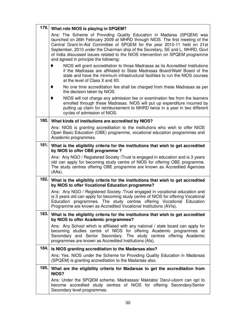| 179. | What role NIOS is playing in SPQEM?                                                                                                                                                                                                                                                                                                                                                                                                              |  |
|------|--------------------------------------------------------------------------------------------------------------------------------------------------------------------------------------------------------------------------------------------------------------------------------------------------------------------------------------------------------------------------------------------------------------------------------------------------|--|
|      | Ans: The Scheme of Providing Quality Education in Madarsa (SPQEM) was<br>launched on 26th February 2009 at MHRD through NIOS. The first meeting of the<br>Central Grant-In-Aid Committee of SPQEM for the year 2010-11 held on 21st<br>September, 2010 under the Chairman ship of the Secretary, SE and L, MHRD, Govt<br>of India discussed issues related to the NIOS intervention on SPQEM programme<br>and agreed in principle the following: |  |
|      | NIOS will grant accreditation to those Madrasas as its Accredited Institutions<br>if the Madrasas are affiliated to State Madrasas Board/Wakf Board of the<br>state and have the minimum infrastructural facilities to run the NIOS courses<br>at the level of Class X and XII.                                                                                                                                                                  |  |
|      | No one time accreditation fee shall be charged from these Madrasas as per<br>the decision taken by NIOS.                                                                                                                                                                                                                                                                                                                                         |  |
|      | NIOS will not charge any admission fee or examination fee from the learners<br>enrolled through these Madrasas. NIOS will put up expenditure incurred by<br>putting up claim for reimbursement to MHRD twice in a year in two different<br>cycles of admission of NIOS.                                                                                                                                                                          |  |
| 180. | What kinds of institutions are accredited by NIOS?                                                                                                                                                                                                                                                                                                                                                                                               |  |
|      | Ans: NIOS is granting accreditation to the institutions who wish to offer NIOS<br>Open Basic Education (OBE) programme, vocational education programmes and<br>Academic programmes.                                                                                                                                                                                                                                                              |  |
| 181. | What is the eligibility criteria for the institutions that wish to get accredited<br>by NIOS to offer OBE programme?                                                                                                                                                                                                                                                                                                                             |  |
|      | Ans: Any NGO / Registered Society / Trust is engaged in education and is 3 years<br>old can apply for becoming study centre of NIOS for offering OBE programme.<br>The study centres offering OBE programme are known as Accredited Agencies<br>$(AAs)$ .                                                                                                                                                                                        |  |
| 182. | What is the eligibility criteria for the institutions that wish to get accredited<br>by NIOS to offer Vocational Education programme?                                                                                                                                                                                                                                                                                                            |  |
|      | Ans: Any NGO / Registered Society / Trust engaged in vocational education and<br>is 3 years old can apply for becoming study centre of NIOS for offering Vocational<br>Education programmes. The study centres offering Vocational Education<br>Programme are known as Accredited Vocational Institutions (AVIs).                                                                                                                                |  |
| 183. | What is the eligibility criteria for the institutions that wish to get accredited<br>by NIOS to offer Academic programmes?                                                                                                                                                                                                                                                                                                                       |  |
|      | Ans: Any School which is affiliated with any national / state board can apply for<br>becoming studies centre of NIOS for offering Academic programmes at<br>Secondary and Senior Secondary. The study centres offering Academic<br>programmes are known as Accredited Institutions (Als).                                                                                                                                                        |  |
| 184. | Is NIOS granting accreditation to the Madarsas also?                                                                                                                                                                                                                                                                                                                                                                                             |  |
|      | Ans: Yes. NIOS under the Scheme for Providing Quality Education in Madarsas<br>(SPQEM) is granting accreditation to the Madarsas also.                                                                                                                                                                                                                                                                                                           |  |
| 185. | What are the eligibility criteria for Madarsas to get the accreditation from<br><b>NIOS?</b>                                                                                                                                                                                                                                                                                                                                                     |  |
|      | Ans: Under the SPQEM scheme, Madrassas/ Maktabs/ Darul-uloom can opt to<br>become accredited study centres of NIOS for offering Secondary/Senior<br>Secondary level programmes.                                                                                                                                                                                                                                                                  |  |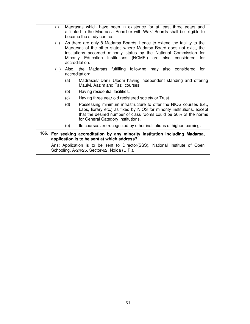|      | (i)   | Madrasas which have been in existence for at least three years and<br>affiliated to the Madrassa Board or with Wakf Boards shall be eligible to<br>become the study centres.                                                                                                                                    |
|------|-------|-----------------------------------------------------------------------------------------------------------------------------------------------------------------------------------------------------------------------------------------------------------------------------------------------------------------|
|      | (ii)  | As there are only 8 Madarsa Boards, hence to extend the facility to the<br>Madarsas of the other states where Madarsa Board does not exist, the<br>institutions accorded minority status by the National Commission for<br>Minority Education Institutions (NCMEI) are also considered<br>for<br>accreditation. |
|      | (iii) | Also, the Madarsas fulfilling following may also considered for<br>accreditation:                                                                                                                                                                                                                               |
|      |       | Madrasas/ Darul Uloom having independent standing and offering<br>(a)<br>Maulvi, Aazim and Fazil courses.                                                                                                                                                                                                       |
|      |       | (b)<br>Having residential facilities.                                                                                                                                                                                                                                                                           |
|      |       | (c)<br>Having three year old registered society or Trust.                                                                                                                                                                                                                                                       |
|      |       | Possessing minimum infrastructure to offer the NIOS courses (i.e.,<br>(d)<br>Labs, library etc.) as fixed by NIOS for minority institutions, except<br>that the desired number of class rooms could be 50% of the norms<br>for General Category Institutions.                                                   |
|      |       | Its courses are recognized by other institutions of higher learning.<br>(e)                                                                                                                                                                                                                                     |
| 186. |       | For seeking accreditation by any minority institution including Madarsa,<br>application is to be sent at which address?                                                                                                                                                                                         |
|      |       | Ans: Application is to be sent to Director(SSS), National Institute of Open<br>Schooling, A-24/25, Sector-62, Noida (U.P.).                                                                                                                                                                                     |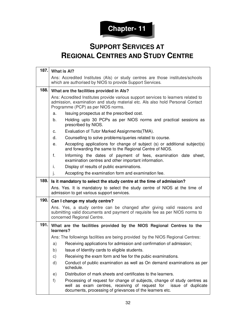

### **SUPPORT SERVICES AT REGIONAL CENTRES AND STUDY CENTRE**

| 187. | What is Al?                                                                                                                                                                                               |                                                                                                                                                                                                           |  |
|------|-----------------------------------------------------------------------------------------------------------------------------------------------------------------------------------------------------------|-----------------------------------------------------------------------------------------------------------------------------------------------------------------------------------------------------------|--|
|      | Ans: Accredited Institutes (Als) or study centres are those institutes/schools<br>which are authorised by NIOS to provide Support Services.                                                               |                                                                                                                                                                                                           |  |
| 188. | What are the facilities provided in Als?                                                                                                                                                                  |                                                                                                                                                                                                           |  |
|      | Ans: Accredited Institutes provide various support services to learners related to<br>admission, examination and study material etc. Als also hold Personal Contact<br>Programme (PCP) as per NIOS norms. |                                                                                                                                                                                                           |  |
|      | a.                                                                                                                                                                                                        | Issuing prospectus at the prescribed cost.                                                                                                                                                                |  |
|      | b.                                                                                                                                                                                                        | Holding upto 30 PCPs as per NIOS norms and practical sessions as<br>prescribed by NIOS.                                                                                                                   |  |
|      | с.                                                                                                                                                                                                        | Evaluation of Tutor Marked Assignments (TMA).                                                                                                                                                             |  |
|      | d.                                                                                                                                                                                                        | Counselling to solve problems/queries related to course.                                                                                                                                                  |  |
|      | е.                                                                                                                                                                                                        | Accepting applications for change of subject (s) or additional subject(s)<br>and forwarding the same to the Regional Centre of NIOS.                                                                      |  |
|      | f.                                                                                                                                                                                                        | Informing the dates of payment of fees, examination date sheet,<br>examination centres and other important information.                                                                                   |  |
|      | i.                                                                                                                                                                                                        | Display of results of public examinations.                                                                                                                                                                |  |
|      | j.                                                                                                                                                                                                        | Accepting the examination form and examination fee.                                                                                                                                                       |  |
| 189. | Is it mandatory to select the study centre at the time of admission?                                                                                                                                      |                                                                                                                                                                                                           |  |
|      |                                                                                                                                                                                                           | Ans. Yes. It is mandatory to select the study centre of NIOS at the time of<br>admission to get various support services.                                                                                 |  |
| 190. | Can I change my study centre?                                                                                                                                                                             |                                                                                                                                                                                                           |  |
|      | Ans. Yes, a study centre can be changed after giving valid reasons and<br>submitting valid documents and payment of requisite fee as per NIOS norms to<br>concerned Regional Centre.                      |                                                                                                                                                                                                           |  |
| 191. | learners?                                                                                                                                                                                                 | What are the facilities provided by the NIOS Regional Centres to the                                                                                                                                      |  |
|      |                                                                                                                                                                                                           | Ans: The followings facilities are being provided by the NIOS Regional Centres:                                                                                                                           |  |
|      | a)                                                                                                                                                                                                        | Receiving applications for admission and confirmation of admission;                                                                                                                                       |  |
|      | b)                                                                                                                                                                                                        | Issue of Identity cards to eligible students.                                                                                                                                                             |  |
|      | C)                                                                                                                                                                                                        | Receiving the exam form and fee for the pubic examinations.                                                                                                                                               |  |
|      | d)                                                                                                                                                                                                        | Conduct of public examination as well as On demand examinations as per<br>schedule.                                                                                                                       |  |
|      | e)                                                                                                                                                                                                        | Distribution of mark sheets and certificates to the learners.                                                                                                                                             |  |
|      | f)                                                                                                                                                                                                        | Processing of request for change of subjects, change of study centres as<br>well as exam centres, receiving of request for issue of duplicate<br>documents, processing of grievances of the learners etc. |  |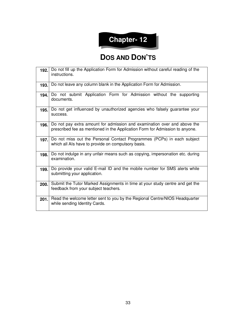# **Chapter- 12**

#### **DOS AND DON'TS**

| 192. | Do not fill up the Application Form for Admission without careful reading of the<br>instructions.                                                        |  |  |  |
|------|----------------------------------------------------------------------------------------------------------------------------------------------------------|--|--|--|
| 193. | Do not leave any column blank in the Application Form for Admission.                                                                                     |  |  |  |
| 194. | Do not submit Application Form for Admission without the supporting<br>documents.                                                                        |  |  |  |
| 195. | Do not get influenced by unauthorized agencies who falsely guarantee your<br>success.                                                                    |  |  |  |
| 196. | Do not pay extra amount for admission and examination over and above the<br>prescribed fee as mentioned in the Application Form for Admission to anyone. |  |  |  |
| 197. | Do not miss out the Personal Contact Programmes (PCPs) in each subject<br>which all AIs have to provide on compulsory basis.                             |  |  |  |
| 198. | Do not indulge in any unfair means such as copying, impersonation etc. during<br>examination.                                                            |  |  |  |
| 199. | Do provide your valid E-mail ID and the mobile number for SMS alerts while<br>submitting your application.                                               |  |  |  |
| 200. | Submit the Tutor Marked Assignments in time at your study centre and get the<br>feedback from your subject teachers.                                     |  |  |  |
| 201. | Read the welcome letter sent to you by the Regional Centre/NIOS Headquarter<br>while sending Identity Cards.                                             |  |  |  |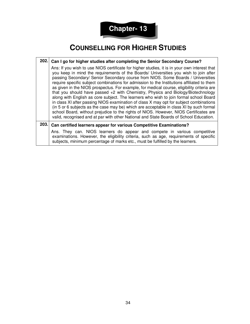

### **COUNSELLING FOR HIGHER STUDIES**

|                                                                                                                                                                                                                                                                                                                                                                                                                                                                                                                                                                                                                                                                                                                                                                                                                                                                                                                                                                                                                           |       | 202. Can I go for higher studies after completing the Senior Secondary Course?                                                                                                                                                                        |  |  |
|---------------------------------------------------------------------------------------------------------------------------------------------------------------------------------------------------------------------------------------------------------------------------------------------------------------------------------------------------------------------------------------------------------------------------------------------------------------------------------------------------------------------------------------------------------------------------------------------------------------------------------------------------------------------------------------------------------------------------------------------------------------------------------------------------------------------------------------------------------------------------------------------------------------------------------------------------------------------------------------------------------------------------|-------|-------------------------------------------------------------------------------------------------------------------------------------------------------------------------------------------------------------------------------------------------------|--|--|
| Ans: If you wish to use NIOS certificate for higher studies, it is in your own interest that<br>you keep in mind the requirements of the Boards/ Universities you wish to join after<br>passing Secondary/ Senior Secondary course from NIOS. Some Boards / Universities<br>require specific subject combinations for admission to the Institutions affiliated to them<br>as given in the NIOS prospectus. For example, for medical course, eligibility criteria are<br>that you should have passed +2 with Chemistry, Physics and Biology/Biotechnology<br>along with English as core subject. The learners who wish to join formal school Board<br>in class XI after passing NIOS examination of class X may opt for subject combinations<br>(in 5 or 6 subjects as the case may be) which are acceptable in class XI by such formal<br>school Board, without prejudice to the rights of NIOS. However, NIOS Certificates are<br>valid, recognised and at par with other National and State Boards of School Education. |       |                                                                                                                                                                                                                                                       |  |  |
|                                                                                                                                                                                                                                                                                                                                                                                                                                                                                                                                                                                                                                                                                                                                                                                                                                                                                                                                                                                                                           | 203.1 | Can certified learners appear for various Competitive Examinations?                                                                                                                                                                                   |  |  |
|                                                                                                                                                                                                                                                                                                                                                                                                                                                                                                                                                                                                                                                                                                                                                                                                                                                                                                                                                                                                                           |       | Ans. They can. NIOS learners do appear and compete in various competitive<br>examinations. However, the eligibility criteria, such as age, requirements of specific<br>subjects, minimum percentage of marks etc., must be fulfilled by the learners. |  |  |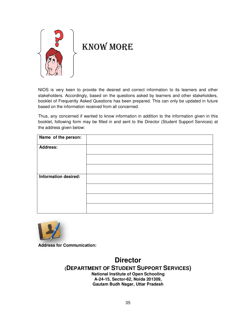

# KNOW MORE

NIOS is very keen to provide the desired and correct information to its learners and other stakeholders. Accordingly, based on the questions asked by learners and other stakeholders, booklet of Frequently Asked Questions has been prepared. This can only be updated in future based on the information received from all concerned.

Thus, any concerned if wanted to know information in addition to the information given in this booklet, following form may be filled in and sent to the Director (Student Support Services) at the address given below:

| Name of the person:         |  |
|-----------------------------|--|
| <b>Address:</b>             |  |
|                             |  |
|                             |  |
| <b>Information desired:</b> |  |
|                             |  |
|                             |  |
|                             |  |



**Address for Communication:** 

**Director (DEPARTMENT OF STUDENT SUPPORT SERVICES) National Institute of Open Schooling A-24-15, Sector-62, Noida 201309, Gautam Budh Nagar, Uttar Pradesh**